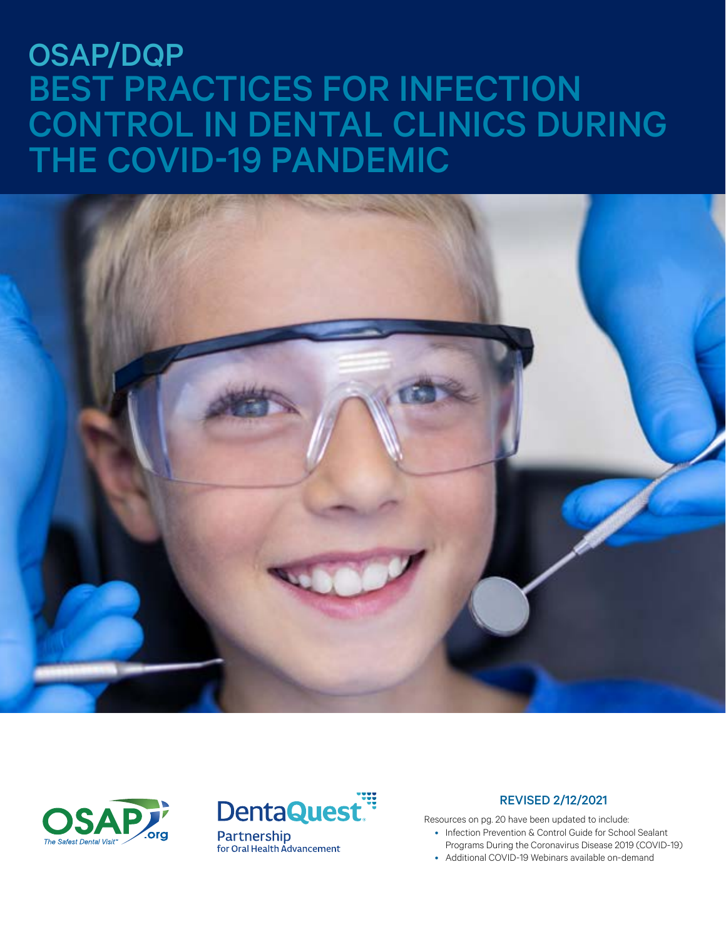# OSAP/DQP BEST PRACTICES FOR INFECTION CONTROL IN DENTAL CLINICS DURING THE COVID-19 PANDEMIC







#### REVISED 2/12/2021

Resources on pg. 20 have been updated to include:

- Infection Prevention & Control Guide for School Sealant
- Programs During the Coronavirus Disease 2019 (COVID-19)
- Additional COVID-19 Webinars available on-demand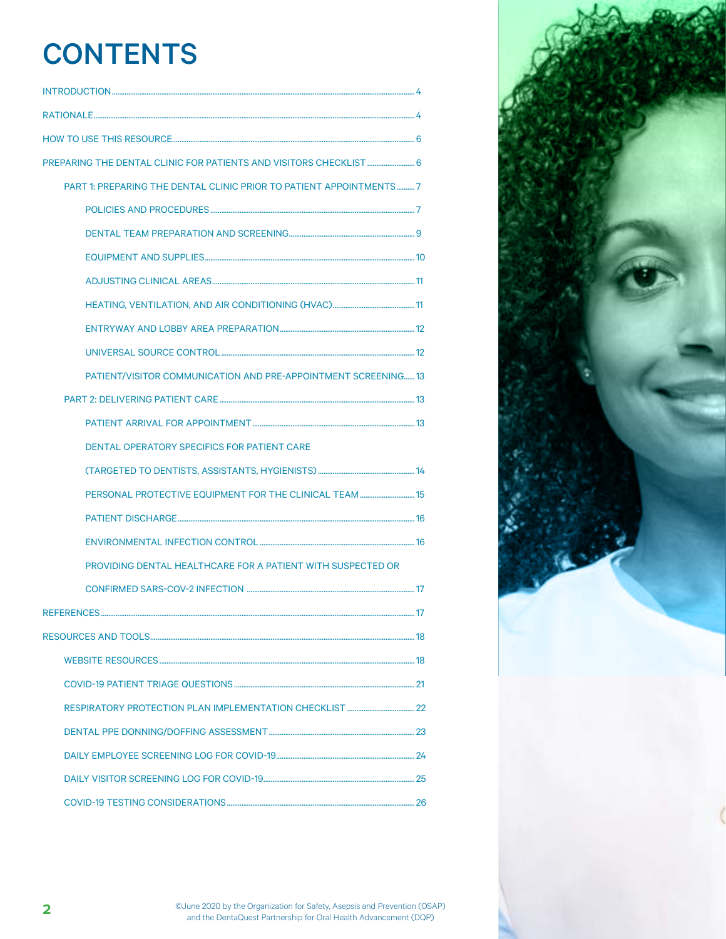## **CONTENTS**

| PART 1: PREPARING THE DENTAL CLINIC PRIOR TO PATIENT APPOINTMENTS7 |  |
|--------------------------------------------------------------------|--|
|                                                                    |  |
|                                                                    |  |
|                                                                    |  |
|                                                                    |  |
|                                                                    |  |
|                                                                    |  |
|                                                                    |  |
| PATIENT/VISITOR COMMUNICATION AND PRE-APPOINTMENT SCREENING13      |  |
|                                                                    |  |
|                                                                    |  |
| <b>DENTAL OPERATORY SPECIFICS FOR PATIENT CARE</b>                 |  |
|                                                                    |  |
| PERSONAL PROTECTIVE EQUIPMENT FOR THE CLINICAL TEAM  15            |  |
|                                                                    |  |
|                                                                    |  |
| PROVIDING DENTAL HEALTHCARE FOR A PATIENT WITH SUSPECTED OR        |  |
|                                                                    |  |
|                                                                    |  |
|                                                                    |  |
|                                                                    |  |
|                                                                    |  |
|                                                                    |  |
|                                                                    |  |
|                                                                    |  |
|                                                                    |  |
|                                                                    |  |

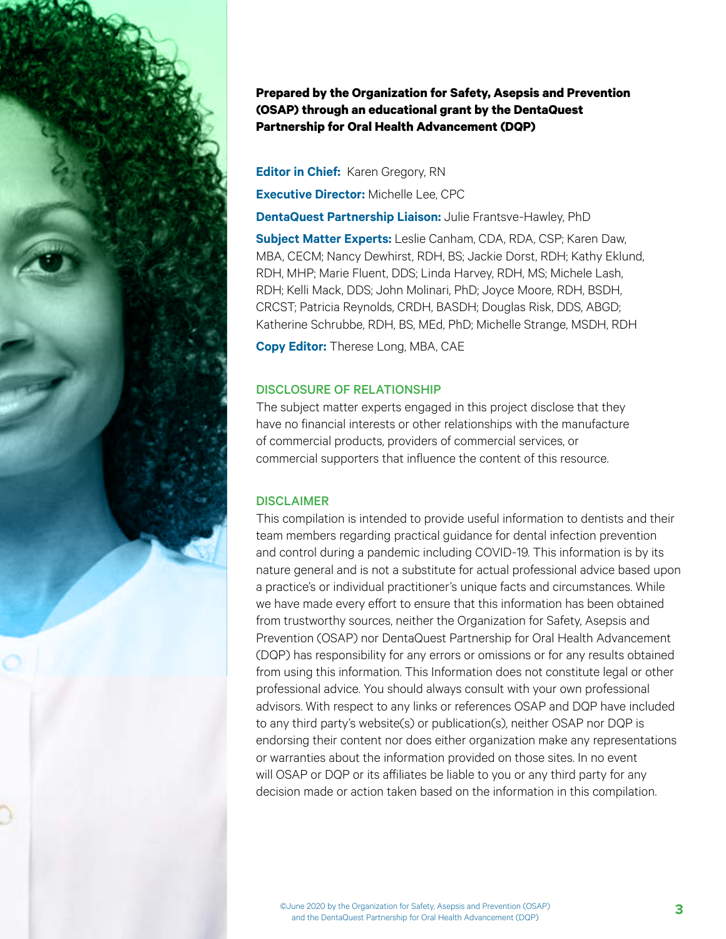

**Prepared by the Organization for Safety, Asepsis and Prevention (OSAP) through an educational grant by the DentaQuest Partnership for Oral Health Advancement (DQP)**

**Editor in Chief: Karen Gregory, RN** 

**Executive Director:** Michelle Lee, CPC

**DentaQuest Partnership Liaison:** Julie Frantsve-Hawley, PhD

**Subject Matter Experts:** Leslie Canham, CDA, RDA, CSP; Karen Daw, MBA, CECM; Nancy Dewhirst, RDH, BS; Jackie Dorst, RDH; Kathy Eklund, RDH, MHP; Marie Fluent, DDS; Linda Harvey, RDH, MS; Michele Lash, RDH; Kelli Mack, DDS; John Molinari, PhD; Joyce Moore, RDH, BSDH, CRCST; Patricia Reynolds, CRDH, BASDH; Douglas Risk, DDS, ABGD; Katherine Schrubbe, RDH, BS, MEd, PhD; Michelle Strange, MSDH, RDH

**Copy Editor:** Therese Long, MBA, CAE

#### DISCLOSURE OF RELATIONSHIP

The subject matter experts engaged in this project disclose that they have no financial interests or other relationships with the manufacture of commercial products, providers of commercial services, or commercial supporters that influence the content of this resource.

#### **DISCLAIMER**

This compilation is intended to provide useful information to dentists and their team members regarding practical guidance for dental infection prevention and control during a pandemic including COVID-19. This information is by its nature general and is not a substitute for actual professional advice based upon a practice's or individual practitioner's unique facts and circumstances. While we have made every effort to ensure that this information has been obtained from trustworthy sources, neither the Organization for Safety, Asepsis and Prevention (OSAP) nor DentaQuest Partnership for Oral Health Advancement (DQP) has responsibility for any errors or omissions or for any results obtained from using this information. This Information does not constitute legal or other professional advice. You should always consult with your own professional advisors. With respect to any links or references OSAP and DQP have included to any third party's website(s) or publication(s), neither OSAP nor DQP is endorsing their content nor does either organization make any representations or warranties about the information provided on those sites. In no event will OSAP or DQP or its affiliates be liable to you or any third party for any decision made or action taken based on the information in this compilation.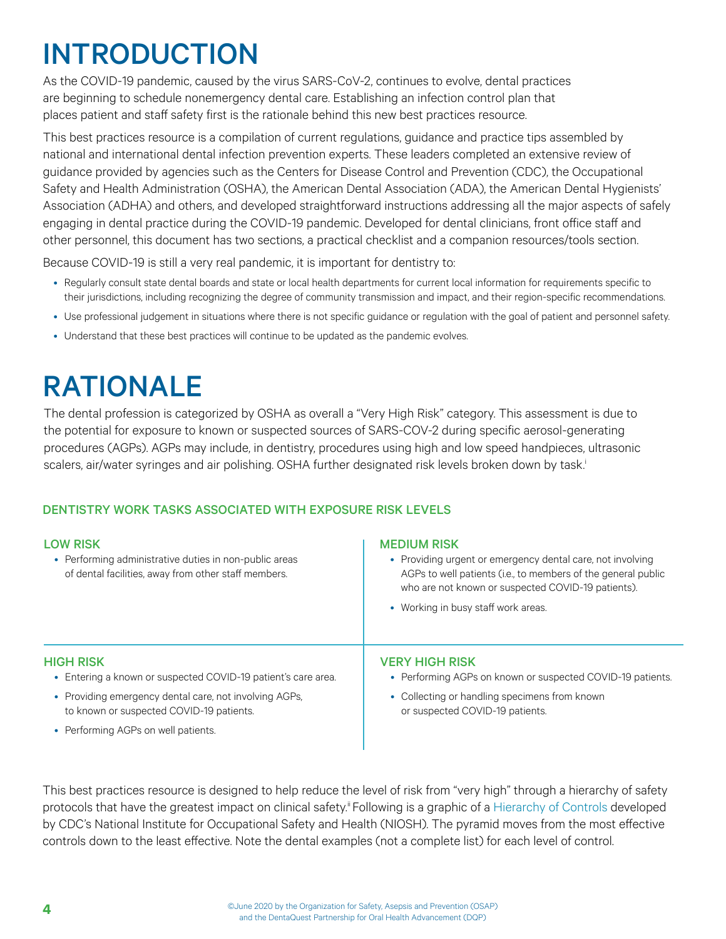# <span id="page-3-0"></span>INTRODUCTION

As the COVID-19 pandemic, caused by the virus SARS-CoV-2, continues to evolve, dental practices are beginning to schedule nonemergency dental care. Establishing an infection control plan that places patient and staff safety first is the rationale behind this new best practices resource.

This best practices resource is a compilation of current regulations, guidance and practice tips assembled by national and international dental infection prevention experts. These leaders completed an extensive review of guidance provided by agencies such as the Centers for Disease Control and Prevention (CDC), the Occupational Safety and Health Administration (OSHA), the American Dental Association (ADA), the American Dental Hygienists' Association (ADHA) and others, and developed straightforward instructions addressing all the major aspects of safely engaging in dental practice during the COVID-19 pandemic. Developed for dental clinicians, front office staff and other personnel, this document has two sections, a practical checklist and a companion resources/tools section.

Because COVID-19 is still a very real pandemic, it is important for dentistry to:

- Regularly consult state dental boards and state or local health departments for current local information for requirements specific to their jurisdictions, including recognizing the degree of community transmission and impact, and their region-specific recommendations.
- Use professional judgement in situations where there is not specific guidance or regulation with the goal of patient and personnel safety.
- Understand that these best practices will continue to be updated as the pandemic evolves.

## RATIONALE

The dental profession is categorized by OSHA as overall a "Very High Risk" category. This assessment is due to the potential for exposure to known or suspected sources of SARS-COV-2 during specific aerosol-generating procedures (AGPs). AGPs may include, in dentistry, procedures using high and low speed handpieces, ultrasonic scalers, air/water syringes and air polishing. OSHA further designated risk levels broken down by task.

#### DENTISTRY WORK TASKS ASSOCIATED WITH EXPOSURE RISK LEVELS

| <b>LOW RISK</b><br>• Performing administrative duties in non-public areas<br>of dental facilities, away from other staff members. | <b>MEDIUM RISK</b><br>• Providing urgent or emergency dental care, not involving<br>AGPs to well patients (i.e., to members of the general public<br>who are not known or suspected COVID-19 patients).<br>• Working in busy staff work areas. |
|-----------------------------------------------------------------------------------------------------------------------------------|------------------------------------------------------------------------------------------------------------------------------------------------------------------------------------------------------------------------------------------------|
| <b>HIGH RISK</b>                                                                                                                  | <b>VERY HIGH RISK</b>                                                                                                                                                                                                                          |
| • Entering a known or suspected COVID-19 patient's care area.                                                                     | • Performing AGPs on known or suspected COVID-19 patients.                                                                                                                                                                                     |
| • Providing emergency dental care, not involving AGPs,                                                                            | • Collecting or handling specimens from known                                                                                                                                                                                                  |
| to known or suspected COVID-19 patients.                                                                                          | or suspected COVID-19 patients.                                                                                                                                                                                                                |

• Performing AGPs on well patients.

This best practices resource is designed to help reduce the level of risk from "very high" through a hierarchy of safety protocols that have the greatest impact on clinical safety.<sup>ii</sup> Following is a graphic of a [Hierarchy of Controls](https://www.cdc.gov/niosh/topics/hierarchy/default.html) developed by CDC's National Institute for Occupational Safety and Health (NIOSH). The pyramid moves from the most effective controls down to the least effective. Note the dental examples (not a complete list) for each level of control.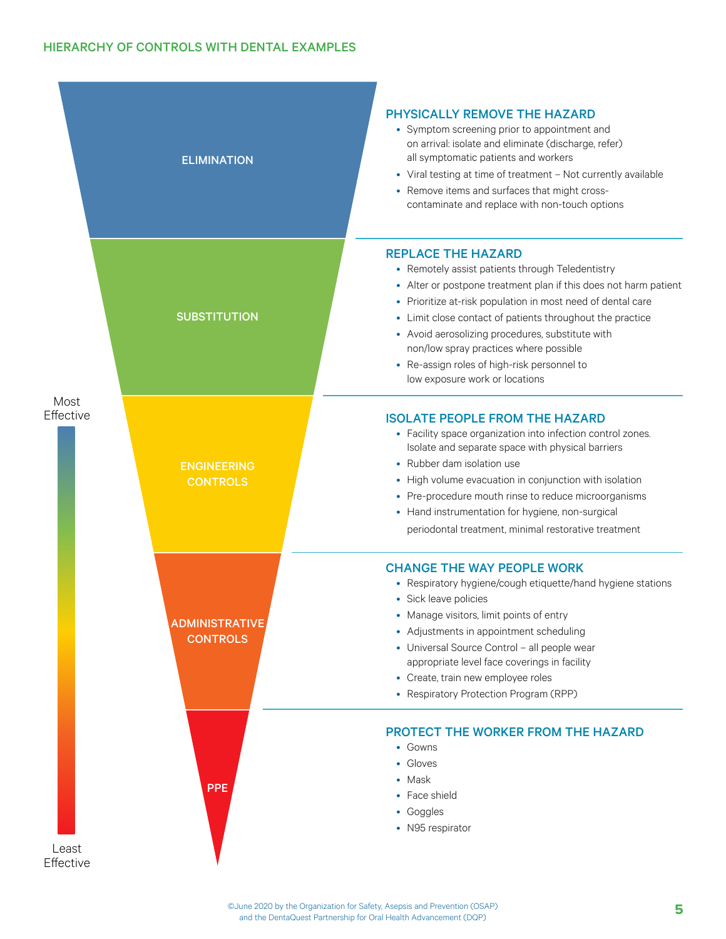|                    | <b>ELIMINATION</b>                       | <b>PHYSICALLY REMOVE THE HAZARD</b><br>• Symptom screening prior to appointment and<br>on arrival: isolate and eliminate (discharge, refer)<br>all symptomatic patients and workers<br>• Viral testing at time of treatment - Not currently available<br>• Remove items and surfaces that might cross-<br>contaminate and replace with non-touch options                                                                                                     |
|--------------------|------------------------------------------|--------------------------------------------------------------------------------------------------------------------------------------------------------------------------------------------------------------------------------------------------------------------------------------------------------------------------------------------------------------------------------------------------------------------------------------------------------------|
|                    | <b>SUBSTITUTION</b>                      | <b>REPLACE THE HAZARD</b><br>• Remotely assist patients through Teledentistry<br>• Alter or postpone treatment plan if this does not harm patient<br>• Prioritize at-risk population in most need of dental care<br>• Limit close contact of patients throughout the practice<br>• Avoid aerosolizing procedures, substitute with<br>non/low spray practices where possible<br>• Re-assign roles of high-risk personnel to<br>low exposure work or locations |
| Most<br>Effective  | <b>ENGINEERING</b><br><b>CONTROLS</b>    | <b>ISOLATE PEOPLE FROM THE HAZARD</b><br>• Facility space organization into infection control zones.<br>Isolate and separate space with physical barriers<br>• Rubber dam isolation use<br>• High volume evacuation in conjunction with isolation<br>• Pre-procedure mouth rinse to reduce microorganisms<br>• Hand instrumentation for hygiene, non-surgical<br>periodontal treatment, minimal restorative treatment                                        |
|                    | <b>ADMINISTRATIVE</b><br><b>CONTROLS</b> | <b>CHANGE THE WAY PEOPLE WORK</b><br>• Respiratory hygiene/cough etiquette/hand hygiene stations<br>• Sick leave policies<br>• Manage visitors, limit points of entry<br>• Adjustments in appointment scheduling<br>• Universal Source Control - all people wear<br>appropriate level face coverings in facility<br>• Create, train new employee roles<br>• Respiratory Protection Program (RPP)                                                             |
| Least<br>Effective | <b>PPE</b>                               | <b>PROTECT THE WORKER FROM THE HAZARD</b><br>• Gowns<br>• Gloves<br>• Mask<br>• Face shield<br>• Goggles<br>• N95 respirator                                                                                                                                                                                                                                                                                                                                 |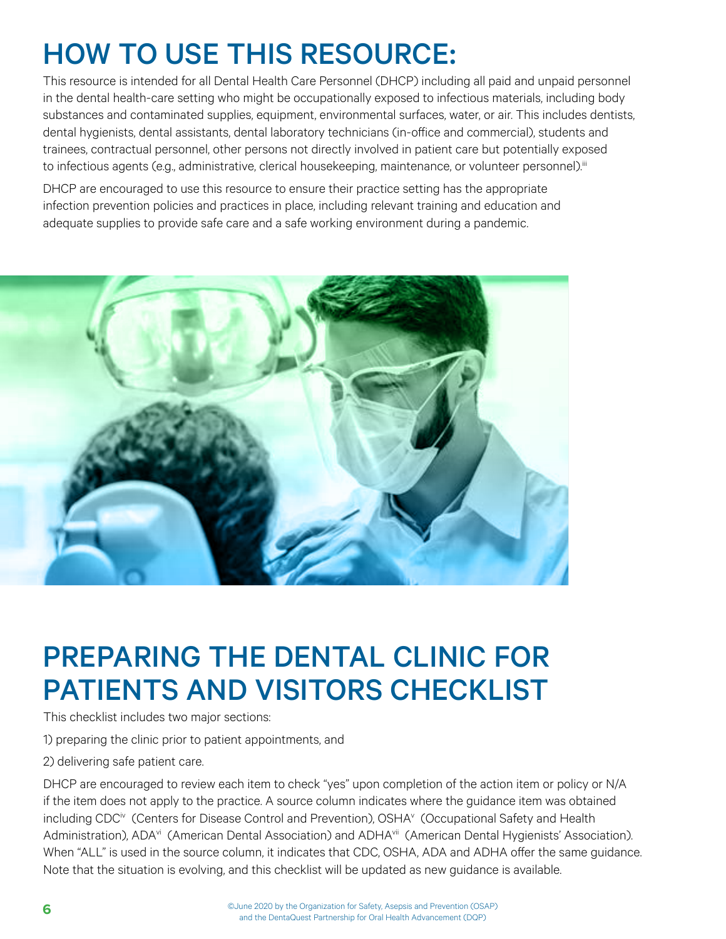# <span id="page-5-0"></span>HOW TO USE THIS RESOURCE:

This resource is intended for all Dental Health Care Personnel (DHCP) including all paid and unpaid personnel in the dental health-care setting who might be occupationally exposed to infectious materials, including body substances and contaminated supplies, equipment, environmental surfaces, water, or air. This includes dentists, dental hygienists, dental assistants, dental laboratory technicians (in-office and commercial), students and trainees, contractual personnel, other persons not directly involved in patient care but potentially exposed to infectious agents (e.g., administrative, clerical housekeeping, maintenance, or volunteer personnel).<sup>iii</sup>

DHCP are encouraged to use this resource to ensure their practice setting has the appropriate infection prevention policies and practices in place, including relevant training and education and adequate supplies to provide safe care and a safe working environment during a pandemic.



### PREPARING THE DENTAL CLINIC FOR PATIENTS AND VISITORS CHECKLIST

This checklist includes two major sections:

1) preparing the clinic prior to patient appointments, and

2) delivering safe patient care.

DHCP are encouraged to review each item to check "yes" upon completion of the action item or policy or N/A if the item does not apply to the practice. A source column indicates where the guidance item was obtained including CDC<sup>iv</sup> (Centers for Disease Control and Prevention), OSHA<sup>v</sup> (Occupational Safety and Health Administration), ADA<sup>vi</sup> (American Dental Association) and ADHA<sup>vii</sup> (American Dental Hygienists' Association). When "ALL" is used in the source column, it indicates that CDC, OSHA, ADA and ADHA offer the same guidance. Note that the situation is evolving, and this checklist will be updated as new guidance is available.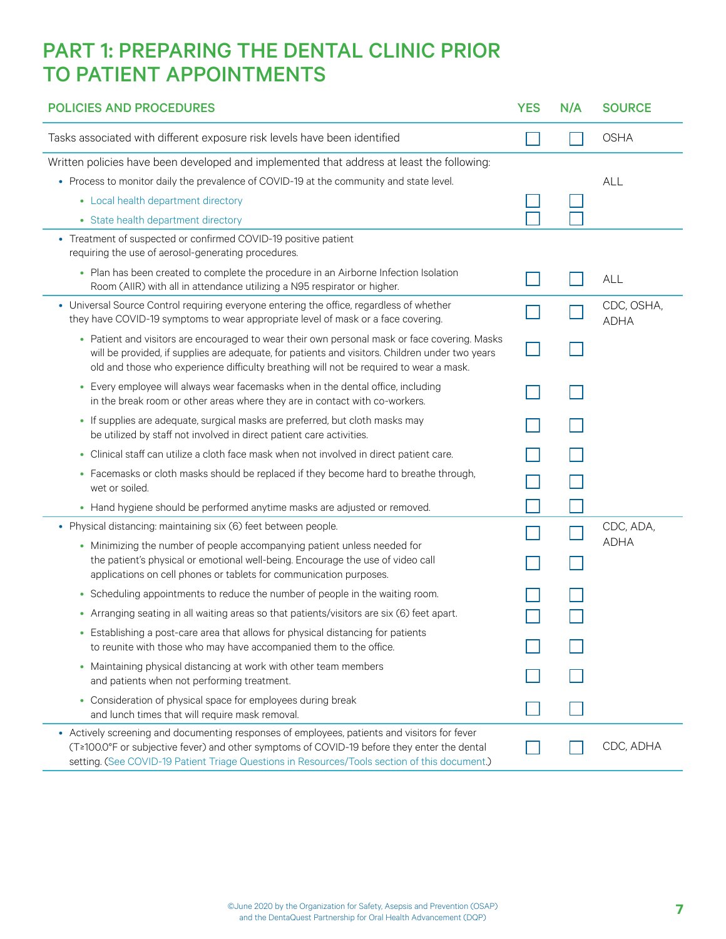### <span id="page-6-0"></span>PART 1: PREPARING THE DENTAL CLINIC PRIOR TO PATIENT APPOINTMENTS

| <b>POLICIES AND PROCEDURES</b>                                                                                                                                                                                                                                                               | <b>YES</b> | N/A | <b>SOURCE</b>             |
|----------------------------------------------------------------------------------------------------------------------------------------------------------------------------------------------------------------------------------------------------------------------------------------------|------------|-----|---------------------------|
| Tasks associated with different exposure risk levels have been identified                                                                                                                                                                                                                    |            |     | <b>OSHA</b>               |
| Written policies have been developed and implemented that address at least the following:                                                                                                                                                                                                    |            |     |                           |
| • Process to monitor daily the prevalence of COVID-19 at the community and state level.                                                                                                                                                                                                      |            |     | ALL                       |
| • Local health department directory                                                                                                                                                                                                                                                          |            |     |                           |
| • State health department directory                                                                                                                                                                                                                                                          |            |     |                           |
| • Treatment of suspected or confirmed COVID-19 positive patient<br>requiring the use of aerosol-generating procedures.                                                                                                                                                                       |            |     |                           |
| • Plan has been created to complete the procedure in an Airborne Infection Isolation<br>Room (AIIR) with all in attendance utilizing a N95 respirator or higher.                                                                                                                             |            |     | ALL                       |
| • Universal Source Control requiring everyone entering the office, regardless of whether<br>they have COVID-19 symptoms to wear appropriate level of mask or a face covering.                                                                                                                |            |     | CDC, OSHA,<br><b>ADHA</b> |
| • Patient and visitors are encouraged to wear their own personal mask or face covering. Masks<br>will be provided, if supplies are adequate, for patients and visitors. Children under two years<br>old and those who experience difficulty breathing will not be required to wear a mask.   |            |     |                           |
| • Every employee will always wear facemasks when in the dental office, including<br>in the break room or other areas where they are in contact with co-workers.                                                                                                                              |            |     |                           |
| • If supplies are adequate, surgical masks are preferred, but cloth masks may<br>be utilized by staff not involved in direct patient care activities.                                                                                                                                        |            |     |                           |
| • Clinical staff can utilize a cloth face mask when not involved in direct patient care.                                                                                                                                                                                                     |            |     |                           |
| • Facemasks or cloth masks should be replaced if they become hard to breathe through,<br>wet or soiled.                                                                                                                                                                                      |            |     |                           |
| • Hand hygiene should be performed anytime masks are adjusted or removed.                                                                                                                                                                                                                    |            |     |                           |
| • Physical distancing: maintaining six (6) feet between people.                                                                                                                                                                                                                              |            |     | CDC, ADA,                 |
| • Minimizing the number of people accompanying patient unless needed for<br>the patient's physical or emotional well-being. Encourage the use of video call                                                                                                                                  |            |     | <b>ADHA</b>               |
| applications on cell phones or tablets for communication purposes.                                                                                                                                                                                                                           |            |     |                           |
| • Scheduling appointments to reduce the number of people in the waiting room.                                                                                                                                                                                                                |            |     |                           |
| • Arranging seating in all waiting areas so that patients/visitors are six (6) feet apart.                                                                                                                                                                                                   |            |     |                           |
| • Establishing a post-care area that allows for physical distancing for patients<br>to reunite with those who may have accompanied them to the office.                                                                                                                                       |            |     |                           |
| • Maintaining physical distancing at work with other team members<br>and patients when not performing treatment.                                                                                                                                                                             |            |     |                           |
| • Consideration of physical space for employees during break<br>and lunch times that will require mask removal.                                                                                                                                                                              |            |     |                           |
| • Actively screening and documenting responses of employees, patients and visitors for fever<br>(T≥100.0°F or subjective fever) and other symptoms of COVID-19 before they enter the dental<br>setting. (See COVID-19 Patient Triage Questions in Resources/Tools section of this document.) |            |     | CDC, ADHA                 |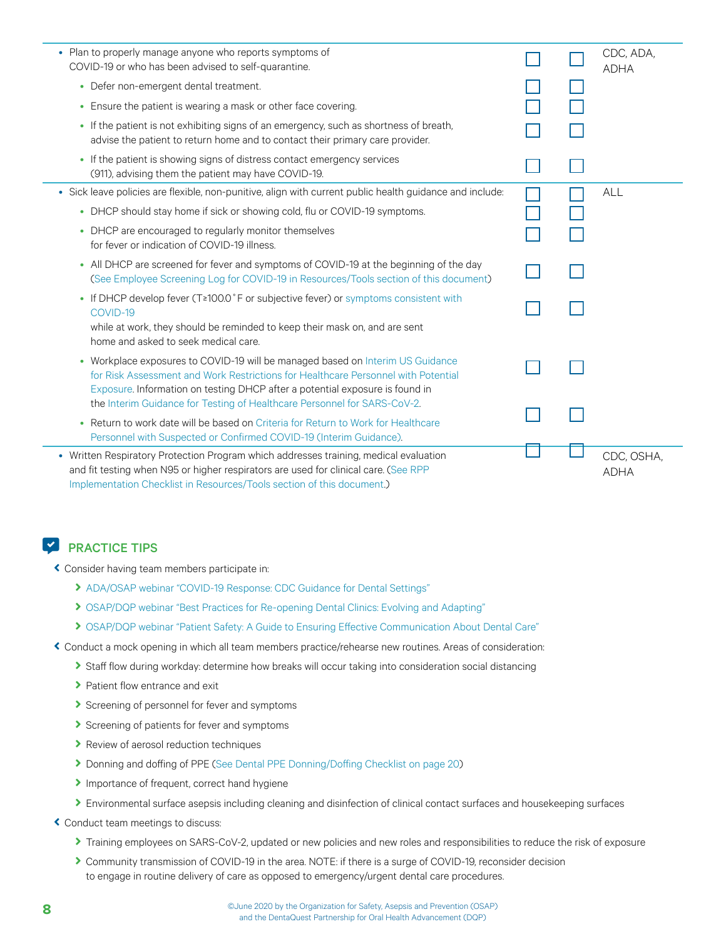| • Plan to properly manage anyone who reports symptoms of<br>COVID-19 or who has been advised to self-quarantine.                                                                                                                                                                                                                |  | CDC, ADA,<br><b>ADHA</b>  |
|---------------------------------------------------------------------------------------------------------------------------------------------------------------------------------------------------------------------------------------------------------------------------------------------------------------------------------|--|---------------------------|
| • Defer non-emergent dental treatment.                                                                                                                                                                                                                                                                                          |  |                           |
| • Ensure the patient is wearing a mask or other face covering.                                                                                                                                                                                                                                                                  |  |                           |
| • If the patient is not exhibiting signs of an emergency, such as shortness of breath,<br>advise the patient to return home and to contact their primary care provider.                                                                                                                                                         |  |                           |
| • If the patient is showing signs of distress contact emergency services<br>(911), advising them the patient may have COVID-19.                                                                                                                                                                                                 |  |                           |
| · Sick leave policies are flexible, non-punitive, align with current public health guidance and include:                                                                                                                                                                                                                        |  | ALL                       |
| • DHCP should stay home if sick or showing cold, flu or COVID-19 symptoms.                                                                                                                                                                                                                                                      |  |                           |
| • DHCP are encouraged to regularly monitor themselves<br>for fever or indication of COVID-19 illness.                                                                                                                                                                                                                           |  |                           |
| • All DHCP are screened for fever and symptoms of COVID-19 at the beginning of the day<br>(See Employee Screening Log for COVID-19 in Resources/Tools section of this document)                                                                                                                                                 |  |                           |
| • If DHCP develop fever (T≥100.0°F or subjective fever) or symptoms consistent with<br>COVID-19<br>while at work, they should be reminded to keep their mask on, and are sent<br>home and asked to seek medical care.                                                                                                           |  |                           |
| • Workplace exposures to COVID-19 will be managed based on Interim US Guidance<br>for Risk Assessment and Work Restrictions for Healthcare Personnel with Potential<br>Exposure. Information on testing DHCP after a potential exposure is found in<br>the Interim Guidance for Testing of Healthcare Personnel for SARS-CoV-2. |  |                           |
| • Return to work date will be based on Criteria for Return to Work for Healthcare<br>Personnel with Suspected or Confirmed COVID-19 (Interim Guidance).                                                                                                                                                                         |  |                           |
| • Written Respiratory Protection Program which addresses training, medical evaluation<br>and fit testing when N95 or higher respirators are used for clinical care. (See RPP<br>Implementation Checklist in Resources/Tools section of this document.)                                                                          |  | CDC, OSHA,<br><b>ADHA</b> |

ĉ Consider having team members participate in:

- > [ADA/OSAP webinar "COVID-19 Response: CDC Guidance for Dental Settings"](https://success.ada.org/en/practice-management/patients/digital-events/cdc-guidance-for-dental-settings-on-demand-webinar?utm_source=adaorg&utm_medium=alertbar&utm_content=cv-safety-osap-webinar-052820&utm_campaign=covid-19)
- > [OSAP/DQP webinar "Best Practices for Re-opening Dental Clinics: Evolving and Adapting"](https://www.dentaquestpartnership.org/learn/online-learning-center/instructional-webinars/best-practices-re-opening-dental-clinics-0)
- > [OSAP/DQP webinar "Patient Safety: A Guide to Ensuring Effective Communication About Dental Care"](https://www.dentaquestpartnership.org/learn/online-learning-center/instructional-webinars/patient-safety-guide-ensuring-effective)
- ĉ Conduct a mock opening in which all team members practice/rehearse new routines. Areas of consideration:
	- > Staff flow during workday: determine how breaks will occur taking into consideration social distancing
	- > Patient flow entrance and exit
	- $\blacktriangleright$  Screening of personnel for fever and symptoms
	- $\blacktriangleright$  Screening of patients for fever and symptoms
	- **>** Review of aerosol reduction techniques
	- **Donning and doffing of PPE [\(See Dental PPE Donning/Doffing Checklist on page 20](#page-22-0))**
	- Importance of frequent, correct hand hygiene
	- > Environmental surface asepsis including cleaning and disinfection of clinical contact surfaces and housekeeping surfaces
- ĉ Conduct team meetings to discuss:
	- Training employees on SARS-CoV-2, updated or new policies and new roles and responsibilities to reduce the risk of exposure
	- Community transmission of COVID-19 in the area. NOTE: if there is a surge of COVID-19, reconsider decision to engage in routine delivery of care as opposed to emergency/urgent dental care procedures.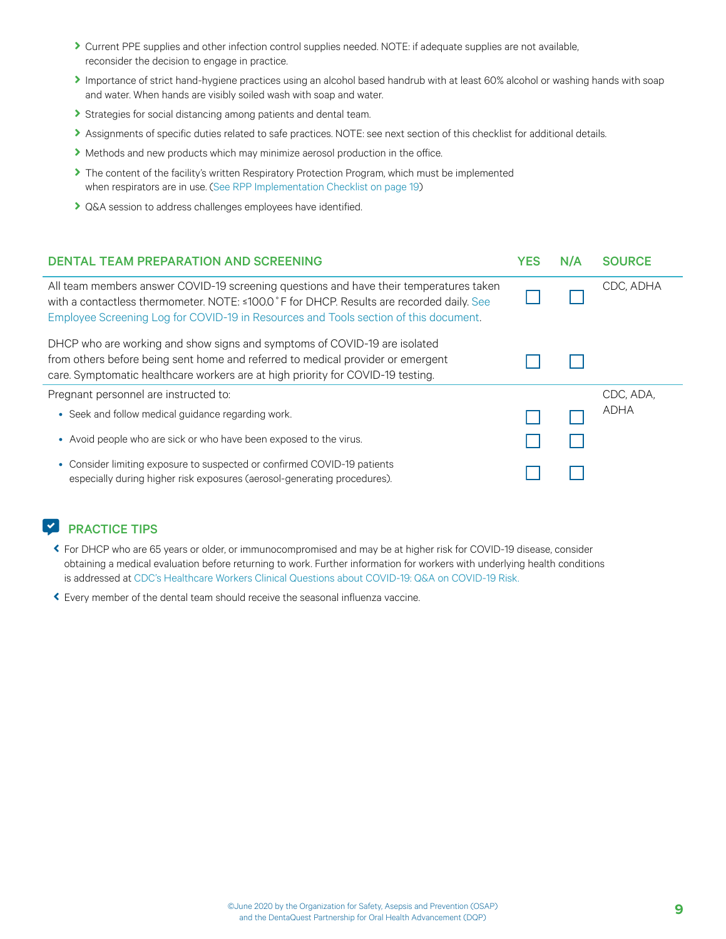- <span id="page-8-0"></span>Current PPE supplies and other infection control supplies needed. NOTE: if adequate supplies are not available, reconsider the decision to engage in practice.
- Importance of strict hand-hygiene practices using an alcohol based handrub with at least 60% alcohol or washing hands with soap and water. When hands are visibly soiled wash with soap and water.
- Strategies for social distancing among patients and dental team.
- Assignments of specific duties related to safe practices. NOTE: see next section of this checklist for additional details.
- If Methods and new products which may minimize aerosol production in the office.
- The content of the facility's written Respiratory Protection Program, which must be implemented when respirators are in use. [\(See RPP Implementation Checklist on page 19\)](#page-21-0)
- C&A session to address challenges employees have identified.

| DENTAL TEAM PREPARATION AND SCREENING                                                                                                                                                                                                                                       | YES | N/A | <b>SOURCE</b> |
|-----------------------------------------------------------------------------------------------------------------------------------------------------------------------------------------------------------------------------------------------------------------------------|-----|-----|---------------|
| All team members answer COVID-19 screening questions and have their temperatures taken<br>with a contactless thermometer. NOTE: ≤100.0 °F for DHCP. Results are recorded daily. See<br>Employee Screening Log for COVID-19 in Resources and Tools section of this document. |     |     | CDC, ADHA     |
| DHCP who are working and show signs and symptoms of COVID-19 are isolated<br>from others before being sent home and referred to medical provider or emergent<br>care. Symptomatic healthcare workers are at high priority for COVID-19 testing.                             |     |     |               |
| Pregnant personnel are instructed to:                                                                                                                                                                                                                                       |     |     | CDC, ADA,     |
| • Seek and follow medical quidance regarding work.                                                                                                                                                                                                                          |     |     | ADHA          |
| • Avoid people who are sick or who have been exposed to the virus.                                                                                                                                                                                                          |     |     |               |
| • Consider limiting exposure to suspected or confirmed COVID-19 patients<br>especially during higher risk exposures (aerosol-generating procedures).                                                                                                                        |     |     |               |

#### **EXP** PRACTICE TIPS

- ĉ For DHCP who are 65 years or older, or immunocompromised and may be at higher risk for COVID-19 disease, consider obtaining a medical evaluation before returning to work. Further information for workers with underlying health conditions is addressed at [CDC's Healthcare Workers Clinical Questions about COVID-19: Q&A on COVID-19 Risk.](https://www.cdc.gov/coronavirus/2019-ncov/hcp/faq.html#COVID-19-Risk)
- ĉ Every member of the dental team should receive the seasonal influenza vaccine.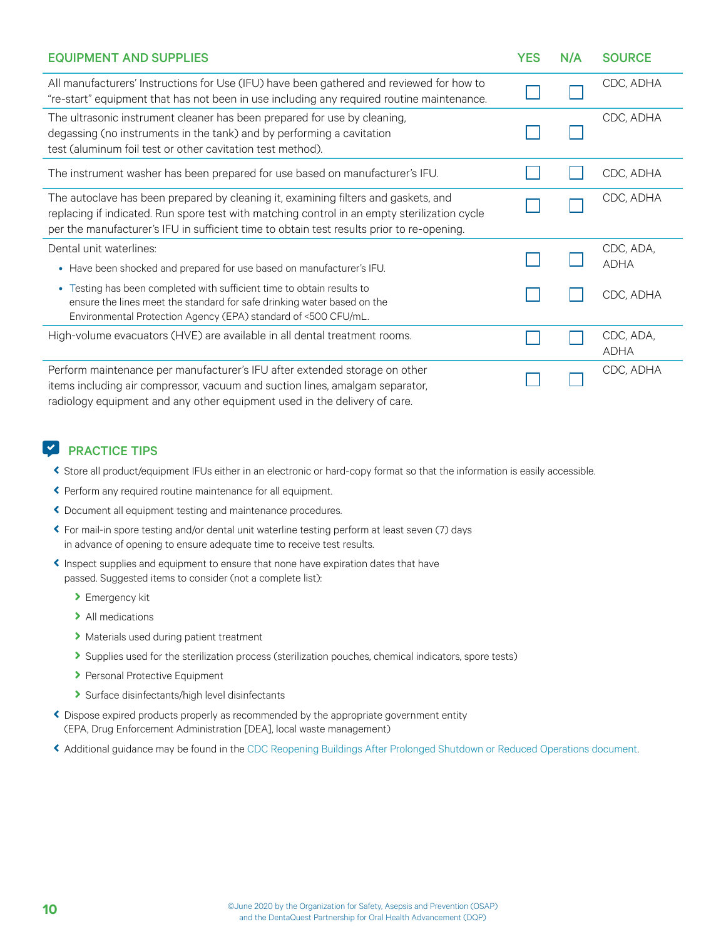<span id="page-9-0"></span>

| <b>EQUIPMENT AND SUPPLIES</b>                                                                                                                                                                                                                                                   | <b>YES</b> | N/A | <b>SOURCE</b>            |
|---------------------------------------------------------------------------------------------------------------------------------------------------------------------------------------------------------------------------------------------------------------------------------|------------|-----|--------------------------|
| All manufacturers' Instructions for Use (IFU) have been gathered and reviewed for how to<br>"re-start" equipment that has not been in use including any required routine maintenance.                                                                                           |            |     | CDC, ADHA                |
| The ultrasonic instrument cleaner has been prepared for use by cleaning,<br>degassing (no instruments in the tank) and by performing a cavitation<br>test (aluminum foil test or other cavitation test method).                                                                 |            |     | CDC, ADHA                |
| The instrument washer has been prepared for use based on manufacturer's IFU.                                                                                                                                                                                                    |            |     | CDC, ADHA                |
| The autoclave has been prepared by cleaning it, examining filters and gaskets, and<br>replacing if indicated. Run spore test with matching control in an empty sterilization cycle<br>per the manufacturer's IFU in sufficient time to obtain test results prior to re-opening. |            |     | CDC, ADHA                |
| Dental unit waterlines:<br>• Have been shocked and prepared for use based on manufacturer's IFU.                                                                                                                                                                                |            |     | CDC, ADA,<br><b>ADHA</b> |
| • Testing has been completed with sufficient time to obtain results to<br>ensure the lines meet the standard for safe drinking water based on the<br>Environmental Protection Agency (EPA) standard of <500 CFU/mL.                                                             |            |     | CDC, ADHA                |
| High-volume evacuators (HVE) are available in all dental treatment rooms.                                                                                                                                                                                                       |            |     | CDC, ADA,<br><b>ADHA</b> |
| Perform maintenance per manufacturer's IFU after extended storage on other<br>items including air compressor, vacuum and suction lines, amalgam separator,<br>radiology equipment and any other equipment used in the delivery of care.                                         |            |     | CDC, ADHA                |

#### **EXP** PRACTICE TIPS

- ĉ Store all product/equipment IFUs either in an electronic or hard-copy format so that the information is easily accessible.
- ĉ Perform any required routine maintenance for all equipment.
- ĉ Document all equipment testing and maintenance procedures.
- ĉ For mail-in spore testing and/or dental unit waterline testing perform at least seven (7) days in advance of opening to ensure adequate time to receive test results.
- ĉ Inspect supplies and equipment to ensure that none have expiration dates that have passed. Suggested items to consider (not a complete list):
	- $\blacktriangleright$  Emergency kit
	- $\blacktriangleright$  All medications
	- > Materials used during patient treatment
	- Supplies used for the sterilization process (sterilization pouches, chemical indicators, spore tests)
	- > Personal Protective Equipment
	- $\blacktriangleright$  Surface disinfectants/high level disinfectants
- ĉ Dispose expired products properly as recommended by the appropriate government entity (EPA, Drug Enforcement Administration [DEA], local waste management)
- ĉ Additional guidance may be found in the [CDC Reopening Buildings After Prolonged Shutdown or Reduced Operations document.](https://www.cdc.gov/coronavirus/2019-ncov/php/building-water-system.html)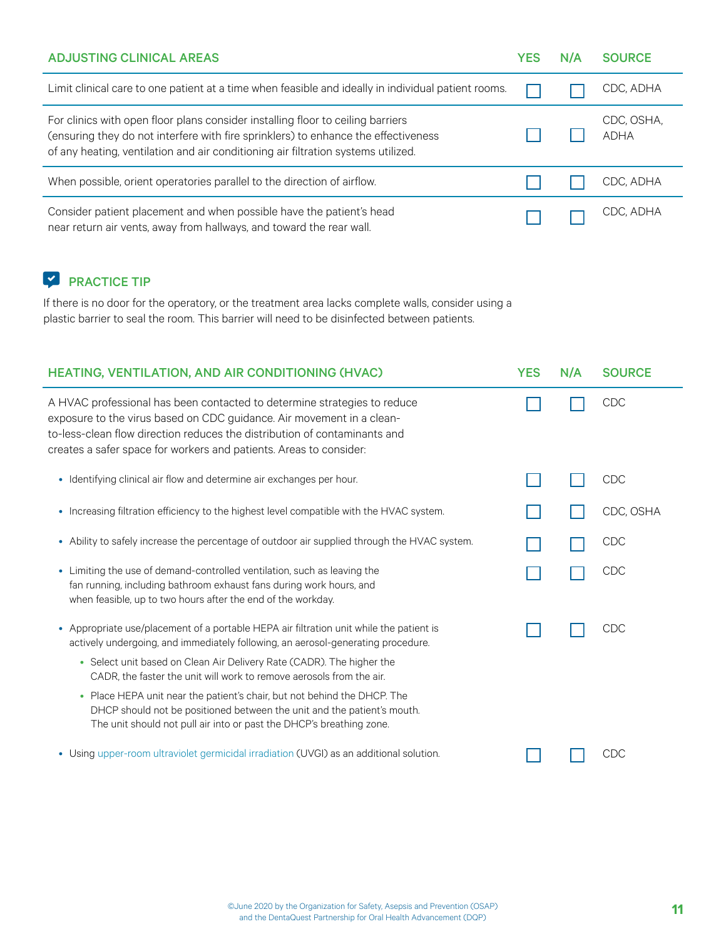<span id="page-10-0"></span>

| <b>ADJUSTING CLINICAL AREAS</b>                                                                                                                                                                                                                            | <b>YES</b> | N/A | <b>SOURCE</b>             |
|------------------------------------------------------------------------------------------------------------------------------------------------------------------------------------------------------------------------------------------------------------|------------|-----|---------------------------|
| Limit clinical care to one patient at a time when feasible and ideally in individual patient rooms.                                                                                                                                                        |            |     | CDC, ADHA                 |
| For clinics with open floor plans consider installing floor to ceiling barriers<br>(ensuring they do not interfere with fire sprinklers) to enhance the effectiveness<br>of any heating, ventilation and air conditioning air filtration systems utilized. |            |     | CDC, OSHA,<br><b>ADHA</b> |
| When possible, orient operatories parallel to the direction of airflow.                                                                                                                                                                                    |            |     | CDC, ADHA                 |
| Consider patient placement and when possible have the patient's head<br>near return air vents, away from hallways, and toward the rear wall.                                                                                                               |            |     | CDC, ADHA                 |

### ̚ PRACTICE TIP

If there is no door for the operatory, or the treatment area lacks complete walls, consider using a plastic barrier to seal the room. This barrier will need to be disinfected between patients.

| <b>HEATING, VENTILATION, AND AIR CONDITIONING (HVAC)</b>                                                                                                                                                                                                                                             | <b>YES</b> | N/A | <b>SOURCE</b> |
|------------------------------------------------------------------------------------------------------------------------------------------------------------------------------------------------------------------------------------------------------------------------------------------------------|------------|-----|---------------|
| A HVAC professional has been contacted to determine strategies to reduce<br>exposure to the virus based on CDC guidance. Air movement in a clean-<br>to-less-clean flow direction reduces the distribution of contaminants and<br>creates a safer space for workers and patients. Areas to consider: |            |     | CDC           |
| • Identifying clinical air flow and determine air exchanges per hour.                                                                                                                                                                                                                                |            |     | CDC           |
| Increasing filtration efficiency to the highest level compatible with the HVAC system.<br>$\bullet$                                                                                                                                                                                                  |            |     | CDC, OSHA     |
| Ability to safely increase the percentage of outdoor air supplied through the HVAC system.<br>$\bullet$                                                                                                                                                                                              |            |     | CDC           |
| Limiting the use of demand-controlled ventilation, such as leaving the<br>$\bullet$<br>fan running, including bathroom exhaust fans during work hours, and<br>when feasible, up to two hours after the end of the workday.                                                                           |            |     | <b>CDC</b>    |
| • Appropriate use/placement of a portable HEPA air filtration unit while the patient is<br>actively undergoing, and immediately following, an aerosol-generating procedure.                                                                                                                          |            |     | <b>CDC</b>    |
| • Select unit based on Clean Air Delivery Rate (CADR). The higher the<br>CADR, the faster the unit will work to remove aerosols from the air.                                                                                                                                                        |            |     |               |
| • Place HEPA unit near the patient's chair, but not behind the DHCP. The<br>DHCP should not be positioned between the unit and the patient's mouth.<br>The unit should not pull air into or past the DHCP's breathing zone.                                                                          |            |     |               |
| • Using upper-room ultraviolet germicidal irradiation (UVGI) as an additional solution.                                                                                                                                                                                                              |            |     | CDC           |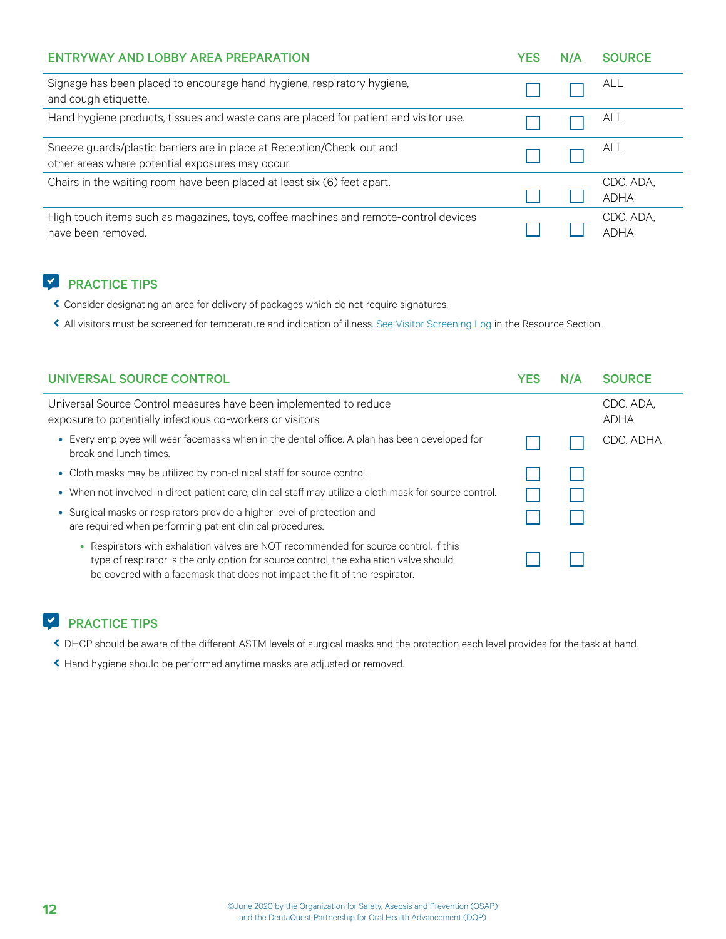<span id="page-11-0"></span>

| <b>ENTRYWAY AND LOBBY AREA PREPARATION</b>                                                                                 | YES | N/A | <b>SOURCE</b>            |
|----------------------------------------------------------------------------------------------------------------------------|-----|-----|--------------------------|
| Signage has been placed to encourage hand hygiene, respiratory hygiene,<br>and cough etiquette.                            |     |     | ALL                      |
| Hand hygiene products, tissues and waste cans are placed for patient and visitor use.                                      |     |     | <b>ALL</b>               |
| Sneeze guards/plastic barriers are in place at Reception/Check-out and<br>other areas where potential exposures may occur. |     |     | ALL                      |
| Chairs in the waiting room have been placed at least six (6) feet apart.                                                   |     |     | CDC, ADA,<br><b>ADHA</b> |
| High touch items such as magazines, toys, coffee machines and remote-control devices<br>have been removed.                 |     |     | CDC, ADA,<br>ADHA        |

- ĉ Consider designating an area for delivery of packages which do not require signatures.
- ĉ All visitors must be screened for temperature and indication of illness. [See Visitor Screening Log](#page-24-0) in the Resource Section.

| UNIVERSAL SOURCE CONTROL                                                                                                                                                                                                                                    | <b>YES</b> | N/A | <b>SOURCE</b>            |
|-------------------------------------------------------------------------------------------------------------------------------------------------------------------------------------------------------------------------------------------------------------|------------|-----|--------------------------|
| Universal Source Control measures have been implemented to reduce<br>exposure to potentially infectious co-workers or visitors                                                                                                                              |            |     | CDC. ADA.<br><b>ADHA</b> |
| • Every employee will wear facemasks when in the dental office. A plan has been developed for<br>break and lunch times.                                                                                                                                     |            |     | CDC, ADHA                |
| • Cloth masks may be utilized by non-clinical staff for source control.                                                                                                                                                                                     |            |     |                          |
| • When not involved in direct patient care, clinical staff may utilize a cloth mask for source control.                                                                                                                                                     |            |     |                          |
| • Surgical masks or respirators provide a higher level of protection and<br>are required when performing patient clinical procedures.                                                                                                                       |            |     |                          |
| • Respirators with exhalation valves are NOT recommended for source control. If this<br>type of respirator is the only option for source control, the exhalation valve should<br>be covered with a facemask that does not impact the fit of the respirator. |            |     |                          |

#### **PRACTICE TIPS**

- ĉ DHCP should be aware of the different ASTM levels of surgical masks and the protection each level provides for the task at hand.
- ĉ Hand hygiene should be performed anytime masks are adjusted or removed.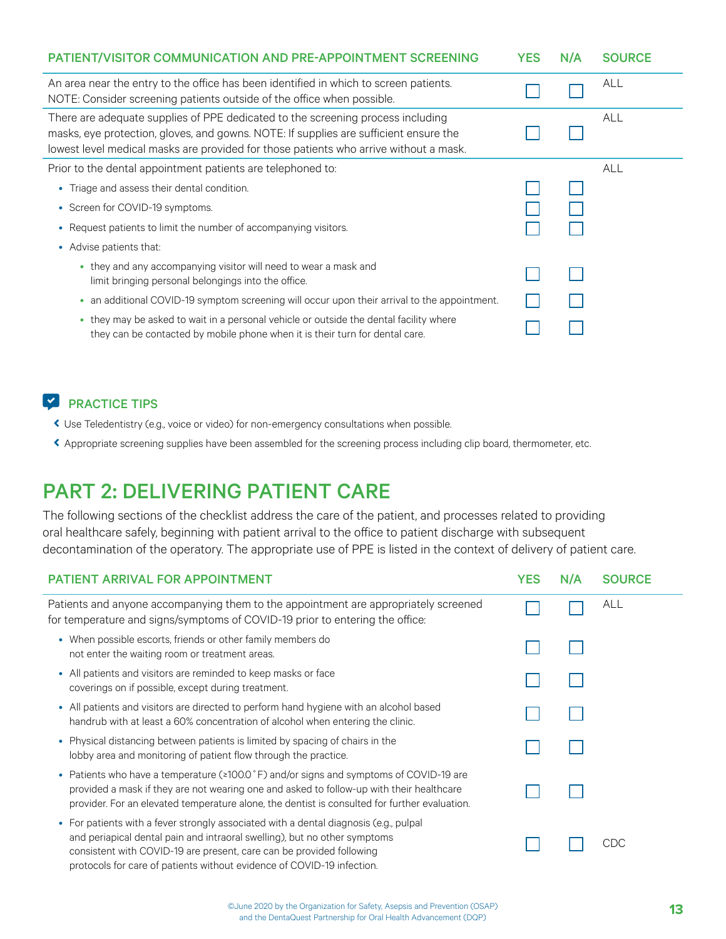<span id="page-12-0"></span>

| PATIENT/VISITOR COMMUNICATION AND PRE-APPOINTMENT SCREENING                                                                                                                                                                                                       | <b>YES</b> | N/A | <b>SOURCE</b> |
|-------------------------------------------------------------------------------------------------------------------------------------------------------------------------------------------------------------------------------------------------------------------|------------|-----|---------------|
| An area near the entry to the office has been identified in which to screen patients.<br>NOTE: Consider screening patients outside of the office when possible.                                                                                                   |            |     | <b>ALL</b>    |
| There are adequate supplies of PPE dedicated to the screening process including<br>masks, eye protection, gloves, and gowns. NOTE: If supplies are sufficient ensure the<br>lowest level medical masks are provided for those patients who arrive without a mask. |            |     | <b>ALL</b>    |
| Prior to the dental appointment patients are telephoned to:                                                                                                                                                                                                       |            |     | <b>ALL</b>    |
| • Triage and assess their dental condition.                                                                                                                                                                                                                       |            |     |               |
| • Screen for COVID-19 symptoms.                                                                                                                                                                                                                                   |            |     |               |
| • Request patients to limit the number of accompanying visitors.                                                                                                                                                                                                  |            |     |               |
| • Advise patients that:                                                                                                                                                                                                                                           |            |     |               |
| • they and any accompanying visitor will need to wear a mask and<br>limit bringing personal belongings into the office.                                                                                                                                           |            |     |               |
| an additional COVID-19 symptom screening will occur upon their arrival to the appointment.<br>٠                                                                                                                                                                   |            |     |               |
| they may be asked to wait in a personal vehicle or outside the dental facility where<br>$\bullet$<br>they can be contacted by mobile phone when it is their turn for dental care.                                                                                 |            |     |               |

- ĉ Use Teledentistry (e.g., voice or video) for non-emergency consultations when possible.
- ĉ Appropriate screening supplies have been assembled for the screening process including clip board, thermometer, etc.

### PART 2: DELIVERING PATIENT CARE

The following sections of the checklist address the care of the patient, and processes related to providing oral healthcare safely, beginning with patient arrival to the office to patient discharge with subsequent decontamination of the operatory. The appropriate use of PPE is listed in the context of delivery of patient care.

| <b>PATIENT ARRIVAL FOR APPOINTMENT</b>                                                                                                                                                                                                                                                                               | <b>YES</b> | N/A | <b>SOURCE</b> |
|----------------------------------------------------------------------------------------------------------------------------------------------------------------------------------------------------------------------------------------------------------------------------------------------------------------------|------------|-----|---------------|
| Patients and anyone accompanying them to the appointment are appropriately screened<br>for temperature and signs/symptoms of COVID-19 prior to entering the office:                                                                                                                                                  |            |     | ALL           |
| • When possible escorts, friends or other family members do<br>not enter the waiting room or treatment areas.                                                                                                                                                                                                        |            |     |               |
| • All patients and visitors are reminded to keep masks or face<br>coverings on if possible, except during treatment.                                                                                                                                                                                                 |            |     |               |
| • All patients and visitors are directed to perform hand hygiene with an alcohol based<br>handrub with at least a 60% concentration of alcohol when entering the clinic.                                                                                                                                             |            |     |               |
| • Physical distancing between patients is limited by spacing of chairs in the<br>lobby area and monitoring of patient flow through the practice.                                                                                                                                                                     |            |     |               |
| • Patients who have a temperature $(\geq 100.0 \degree F)$ and/or signs and symptoms of COVID-19 are<br>provided a mask if they are not wearing one and asked to follow-up with their healthcare<br>provider. For an elevated temperature alone, the dentist is consulted for further evaluation.                    |            |     |               |
| • For patients with a fever strongly associated with a dental diagnosis (e.g., pulpal<br>and periapical dental pain and intraoral swelling), but no other symptoms<br>consistent with COVID-19 are present, care can be provided following<br>protocols for care of patients without evidence of COVID-19 infection. |            |     | CDC           |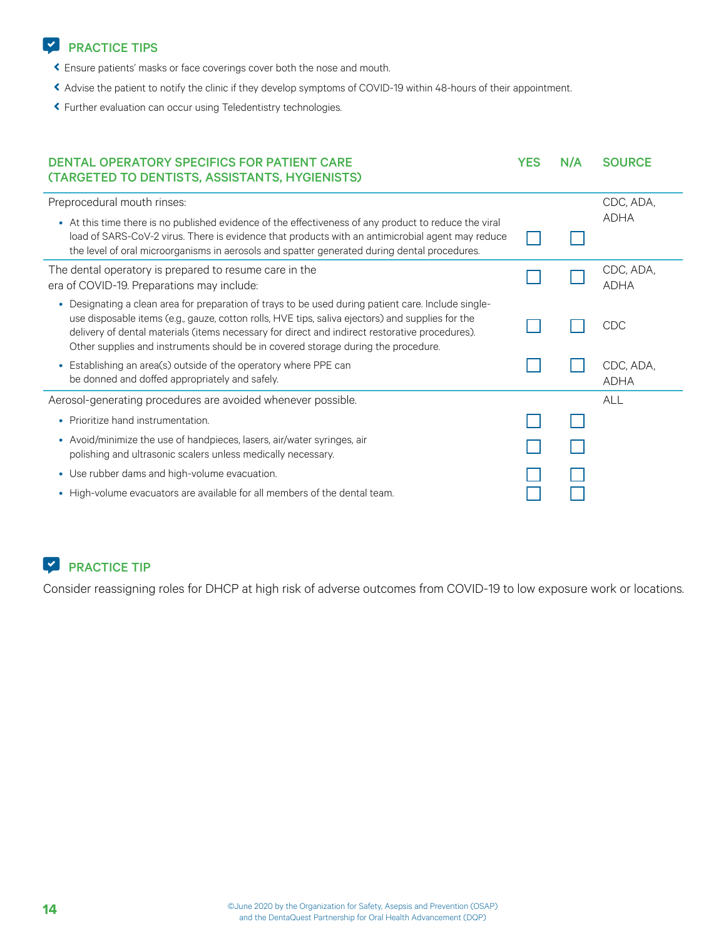- <span id="page-13-0"></span>ĉ Ensure patients' masks or face coverings cover both the nose and mouth.
- ĉ Advise the patient to notify the clinic if they develop symptoms of COVID-19 within 48-hours of their appointment.
- ĉ Further evaluation can occur using Teledentistry technologies.

| <b>DENTAL OPERATORY SPECIFICS FOR PATIENT CARE</b><br>(TARGETED TO DENTISTS, ASSISTANTS, HYGIENISTS)                                                                                                                                                                                                                                                                                           | <b>YES</b> | N/A | <b>SOURCE</b>            |
|------------------------------------------------------------------------------------------------------------------------------------------------------------------------------------------------------------------------------------------------------------------------------------------------------------------------------------------------------------------------------------------------|------------|-----|--------------------------|
| Preprocedural mouth rinses:                                                                                                                                                                                                                                                                                                                                                                    |            |     | CDC, ADA,                |
| At this time there is no published evidence of the effectiveness of any product to reduce the viral<br>load of SARS-CoV-2 virus. There is evidence that products with an antimicrobial agent may reduce<br>the level of oral microorganisms in aerosols and spatter generated during dental procedures.                                                                                        |            |     | <b>ADHA</b>              |
| The dental operatory is prepared to resume care in the<br>era of COVID-19. Preparations may include:                                                                                                                                                                                                                                                                                           |            |     | CDC, ADA,<br><b>ADHA</b> |
| • Designating a clean area for preparation of trays to be used during patient care. Include single-<br>use disposable items (e.g., gauze, cotton rolls, HVE tips, saliva ejectors) and supplies for the<br>delivery of dental materials (items necessary for direct and indirect restorative procedures).<br>Other supplies and instruments should be in covered storage during the procedure. |            |     | CDC                      |
| • Establishing an area(s) outside of the operatory where PPE can<br>be donned and doffed appropriately and safely.                                                                                                                                                                                                                                                                             |            |     | CDC, ADA,<br><b>ADHA</b> |
| Aerosol-generating procedures are avoided whenever possible.                                                                                                                                                                                                                                                                                                                                   |            |     | <b>ALL</b>               |
| • Prioritize hand instrumentation.                                                                                                                                                                                                                                                                                                                                                             |            |     |                          |
| • Avoid/minimize the use of handpieces, lasers, air/water syringes, air<br>polishing and ultrasonic scalers unless medically necessary.                                                                                                                                                                                                                                                        |            |     |                          |
| • Use rubber dams and high-volume evacuation.                                                                                                                                                                                                                                                                                                                                                  |            |     |                          |
| • High-volume evacuators are available for all members of the dental team.                                                                                                                                                                                                                                                                                                                     |            |     |                          |

### ̚ PRACTICE TIP

Consider reassigning roles for DHCP at high risk of adverse outcomes from COVID-19 to low exposure work or locations.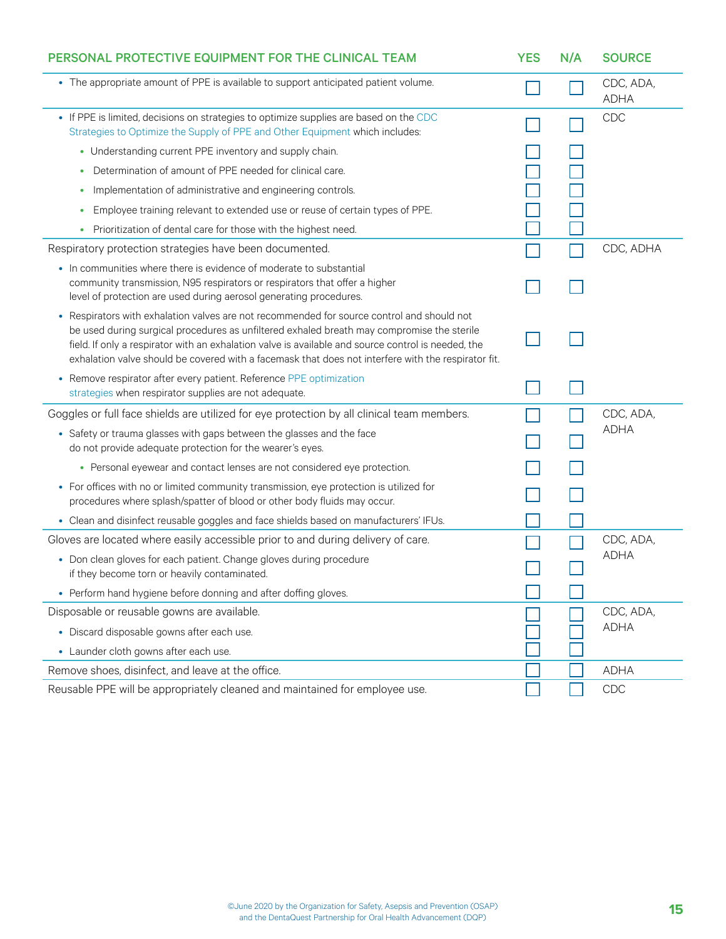<span id="page-14-0"></span>

| PERSONAL PROTECTIVE EQUIPMENT FOR THE CLINICAL TEAM                                                                                                                                                                                                                                                                                                                                                  | <b>YES</b> | N/A | <b>SOURCE</b>            |
|------------------------------------------------------------------------------------------------------------------------------------------------------------------------------------------------------------------------------------------------------------------------------------------------------------------------------------------------------------------------------------------------------|------------|-----|--------------------------|
| • The appropriate amount of PPE is available to support anticipated patient volume.                                                                                                                                                                                                                                                                                                                  |            |     | CDC, ADA,<br><b>ADHA</b> |
| • If PPE is limited, decisions on strategies to optimize supplies are based on the CDC<br>Strategies to Optimize the Supply of PPE and Other Equipment which includes:                                                                                                                                                                                                                               |            |     | CDC                      |
| • Understanding current PPE inventory and supply chain.                                                                                                                                                                                                                                                                                                                                              |            |     |                          |
| Determination of amount of PPE needed for clinical care.<br>٠                                                                                                                                                                                                                                                                                                                                        |            |     |                          |
| Implementation of administrative and engineering controls.<br>٠                                                                                                                                                                                                                                                                                                                                      |            |     |                          |
| Employee training relevant to extended use or reuse of certain types of PPE.<br>٠                                                                                                                                                                                                                                                                                                                    |            |     |                          |
| Prioritization of dental care for those with the highest need.                                                                                                                                                                                                                                                                                                                                       |            |     |                          |
| Respiratory protection strategies have been documented.                                                                                                                                                                                                                                                                                                                                              |            |     | CDC, ADHA                |
| • In communities where there is evidence of moderate to substantial<br>community transmission, N95 respirators or respirators that offer a higher<br>level of protection are used during aerosol generating procedures.                                                                                                                                                                              |            |     |                          |
| Respirators with exhalation valves are not recommended for source control and should not<br>be used during surgical procedures as unfiltered exhaled breath may compromise the sterile<br>field. If only a respirator with an exhalation valve is available and source control is needed, the<br>exhalation valve should be covered with a facemask that does not interfere with the respirator fit. |            |     |                          |
| • Remove respirator after every patient. Reference PPE optimization<br>strategies when respirator supplies are not adequate.                                                                                                                                                                                                                                                                         |            |     |                          |
| Goggles or full face shields are utilized for eye protection by all clinical team members.                                                                                                                                                                                                                                                                                                           |            |     | CDC, ADA,                |
| • Safety or trauma glasses with gaps between the glasses and the face<br>do not provide adequate protection for the wearer's eyes.                                                                                                                                                                                                                                                                   |            |     | <b>ADHA</b>              |
| • Personal eyewear and contact lenses are not considered eye protection.                                                                                                                                                                                                                                                                                                                             |            |     |                          |
| • For offices with no or limited community transmission, eye protection is utilized for<br>procedures where splash/spatter of blood or other body fluids may occur.                                                                                                                                                                                                                                  |            |     |                          |
| • Clean and disinfect reusable goggles and face shields based on manufacturers' IFUs.                                                                                                                                                                                                                                                                                                                |            |     |                          |
| Gloves are located where easily accessible prior to and during delivery of care.                                                                                                                                                                                                                                                                                                                     |            |     | CDC, ADA,                |
| • Don clean gloves for each patient. Change gloves during procedure<br>if they become torn or heavily contaminated.                                                                                                                                                                                                                                                                                  |            |     | <b>ADHA</b>              |
| • Perform hand hygiene before donning and after doffing gloves.                                                                                                                                                                                                                                                                                                                                      |            |     |                          |
| Disposable or reusable gowns are available.                                                                                                                                                                                                                                                                                                                                                          |            |     | CDC, ADA,                |
| • Discard disposable gowns after each use.                                                                                                                                                                                                                                                                                                                                                           |            |     | <b>ADHA</b>              |
| • Launder cloth gowns after each use.                                                                                                                                                                                                                                                                                                                                                                |            |     |                          |
| Remove shoes, disinfect, and leave at the office.                                                                                                                                                                                                                                                                                                                                                    |            |     | <b>ADHA</b>              |
| Reusable PPE will be appropriately cleaned and maintained for employee use.                                                                                                                                                                                                                                                                                                                          |            |     | CDC                      |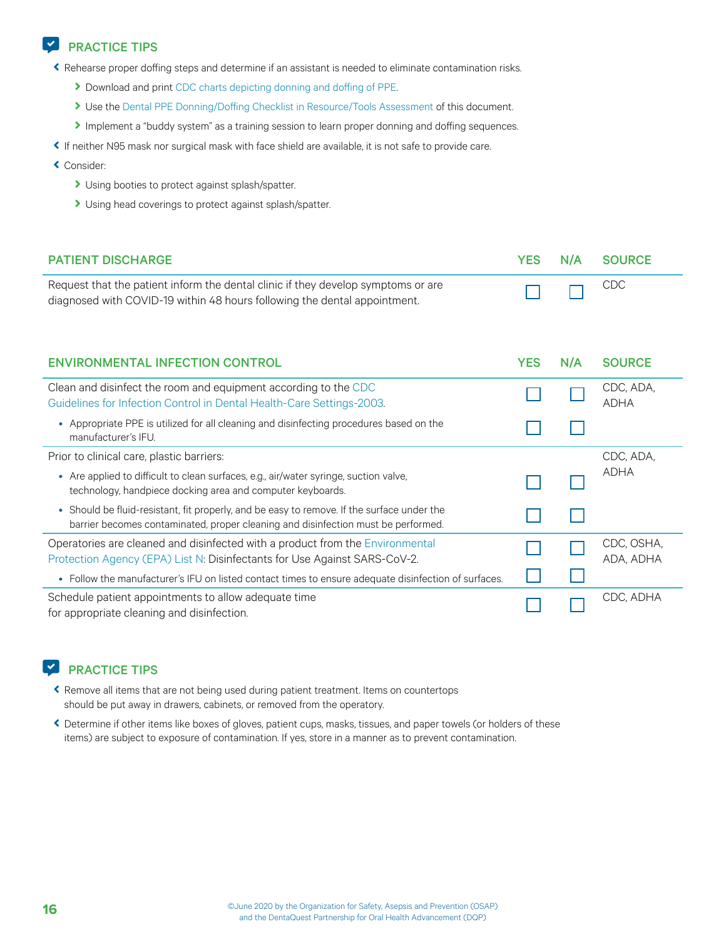<span id="page-15-0"></span>ĉ Rehearse proper doffing steps and determine if an assistant is needed to eliminate contamination risks.

- Download and print [CDC charts depicting donning and doffing of PPE](https://www.cdc.gov/coronavirus/2019-ncov/hcp/using-ppe.html).
- I Use the [Dental PPE Donning/Doffing Checklist in Resource/Tools Assessment](#page-22-0) of this document.
- Implement a "buddy system" as a training session to learn proper donning and doffing sequences.
- ĉ If neither N95 mask nor surgical mask with face shield are available, it is not safe to provide care.
- ĉ Consider:
	- I Using booties to protect against splash/spatter.
	- I Using head coverings to protect against splash/spatter.

| <b>PATIENT DISCHARGE</b>                                                                                                                                                        | <b>YES</b> | N/A | <b>SOURCE</b>            |
|---------------------------------------------------------------------------------------------------------------------------------------------------------------------------------|------------|-----|--------------------------|
| Request that the patient inform the dental clinic if they develop symptoms or are<br>diagnosed with COVID-19 within 48 hours following the dental appointment.                  |            |     | CDC                      |
| <b>ENVIRONMENTAL INFECTION CONTROL</b>                                                                                                                                          | <b>YES</b> | N/A | <b>SOURCE</b>            |
| Clean and disinfect the room and equipment according to the CDC<br>Guidelines for Infection Control in Dental Health-Care Settings-2003.                                        |            |     | CDC, ADA,<br><b>ADHA</b> |
| • Appropriate PPE is utilized for all cleaning and disinfecting procedures based on the<br>manufacturer's IFU.                                                                  |            |     |                          |
| Prior to clinical care, plastic barriers:                                                                                                                                       |            |     | CDC, ADA,                |
| • Are applied to difficult to clean surfaces, e.g., air/water syringe, suction valve,<br>technology, handpiece docking area and computer keyboards.                             |            |     | <b>ADHA</b>              |
| • Should be fluid-resistant, fit properly, and be easy to remove. If the surface under the<br>barrier becomes contaminated, proper cleaning and disinfection must be performed. |            |     |                          |
| Operatories are cleaned and disinfected with a product from the Environmental<br>Protection Agency (EPA) List N: Disinfectants for Use Against SARS-CoV-2.                      |            |     | CDC, OSHA,<br>ADA, ADHA  |
| • Follow the manufacturer's IFU on listed contact times to ensure adequate disinfection of surfaces.                                                                            |            |     |                          |
| Schedule patient appointments to allow adequate time<br>for appropriate cleaning and disinfection.                                                                              |            |     | CDC, ADHA                |

#### **EXP** PRACTICE TIPS

- ĉ Remove all items that are not being used during patient treatment. Items on countertops should be put away in drawers, cabinets, or removed from the operatory.
- ĉ Determine if other items like boxes of gloves, patient cups, masks, tissues, and paper towels (or holders of these items) are subject to exposure of contamination. If yes, store in a manner as to prevent contamination.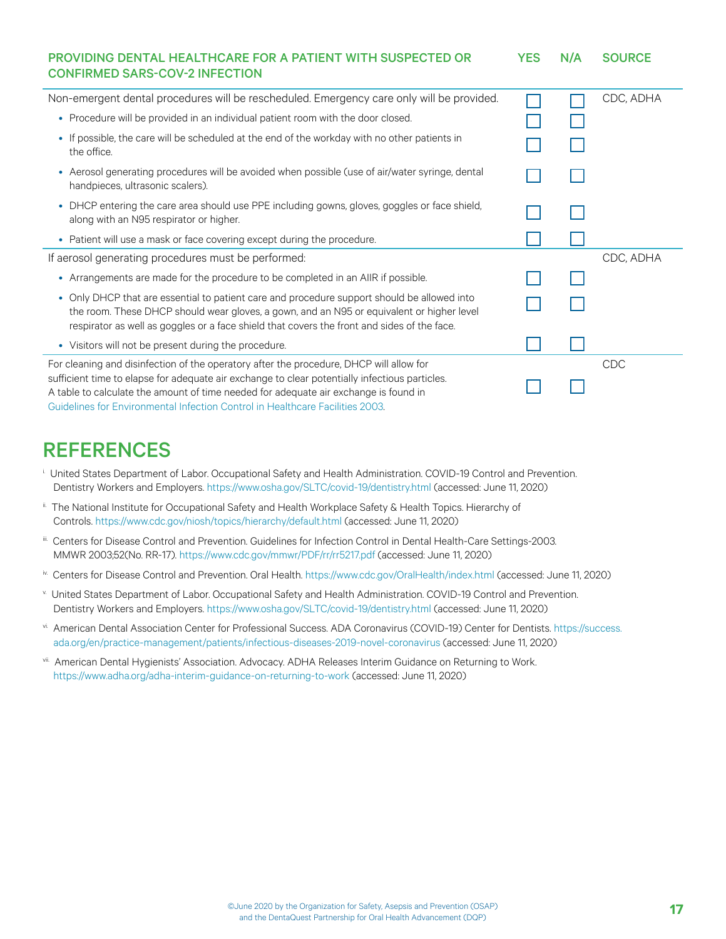<span id="page-16-0"></span>

| <b>PROVIDING DENTAL HEALTHCARE FOR A PATIENT WITH SUSPECTED OR</b><br><b>CONFIRMED SARS-COV-2 INFECTION</b>                                                                                                                                                                                                                                                        | <b>YES</b> | N/A | <b>SOURCE</b> |
|--------------------------------------------------------------------------------------------------------------------------------------------------------------------------------------------------------------------------------------------------------------------------------------------------------------------------------------------------------------------|------------|-----|---------------|
| Non-emergent dental procedures will be rescheduled. Emergency care only will be provided.                                                                                                                                                                                                                                                                          |            |     | CDC, ADHA     |
| • Procedure will be provided in an individual patient room with the door closed.                                                                                                                                                                                                                                                                                   |            |     |               |
| • If possible, the care will be scheduled at the end of the workday with no other patients in<br>the office.                                                                                                                                                                                                                                                       |            |     |               |
| • Aerosol generating procedures will be avoided when possible (use of air/water syringe, dental<br>handpieces, ultrasonic scalers).                                                                                                                                                                                                                                |            |     |               |
| • DHCP entering the care area should use PPE including gowns, gloves, goggles or face shield,<br>along with an N95 respirator or higher.                                                                                                                                                                                                                           |            |     |               |
| • Patient will use a mask or face covering except during the procedure.                                                                                                                                                                                                                                                                                            |            |     |               |
| If aerosol generating procedures must be performed:                                                                                                                                                                                                                                                                                                                |            |     | CDC, ADHA     |
| • Arrangements are made for the procedure to be completed in an AIIR if possible.                                                                                                                                                                                                                                                                                  |            |     |               |
| • Only DHCP that are essential to patient care and procedure support should be allowed into<br>the room. These DHCP should wear gloves, a gown, and an N95 or equivalent or higher level<br>respirator as well as goggles or a face shield that covers the front and sides of the face.                                                                            |            |     |               |
| • Visitors will not be present during the procedure.                                                                                                                                                                                                                                                                                                               |            |     |               |
| For cleaning and disinfection of the operatory after the procedure, DHCP will allow for<br>sufficient time to elapse for adequate air exchange to clear potentially infectious particles.<br>A table to calculate the amount of time needed for adequate air exchange is found in<br>Guidelines for Environmental Infection Control in Healthcare Facilities 2003. |            |     | <b>CDC</b>    |

### REFERENCES

- i. United States Department of Labor. Occupational Safety and Health Administration. COVID-19 Control and Prevention. Dentistry Workers and Employers. <https://www.osha.gov/SLTC/covid-19/dentistry.html>(accessed: June 11, 2020)
- ii. The National Institute for Occupational Safety and Health Workplace Safety & Health Topics. Hierarchy of Controls.<https://www.cdc.gov/niosh/topics/hierarchy/default.html> (accessed: June 11, 2020)
- iii. Centers for Disease Control and Prevention. Guidelines for Infection Control in Dental Health-Care Settings-2003. MMWR 2003;52(No. RR-17).<https://www.cdc.gov/mmwr/PDF/rr/rr5217.pdf>(accessed: June 11, 2020)
- iv. Centers for Disease Control and Prevention. Oral Health. <https://www.cdc.gov/OralHealth/index.html> (accessed: June 11, 2020)
- v. United States Department of Labor. Occupational Safety and Health Administration. COVID-19 Control and Prevention. Dentistry Workers and Employers. <https://www.osha.gov/SLTC/covid-19/dentistry.html>(accessed: June 11, 2020)
- vi. American Dental Association Center for Professional Success. ADA Coronavirus (COVID-19) Center for Dentists. [https://success.](https://success.ada.org/en/practice-management/patients/infectious-diseases-2019-novel-coronavirus) [ada.org/en/practice-management/patients/infectious-diseases-2019-novel-coronavirus](https://success.ada.org/en/practice-management/patients/infectious-diseases-2019-novel-coronavirus) (accessed: June 11, 2020)
- vii. American Dental Hygienists' Association. Advocacy. ADHA Releases Interim Guidance on Returning to Work. <https://www.adha.org/adha-interim-guidance-on-returning-to-work>(accessed: June 11, 2020)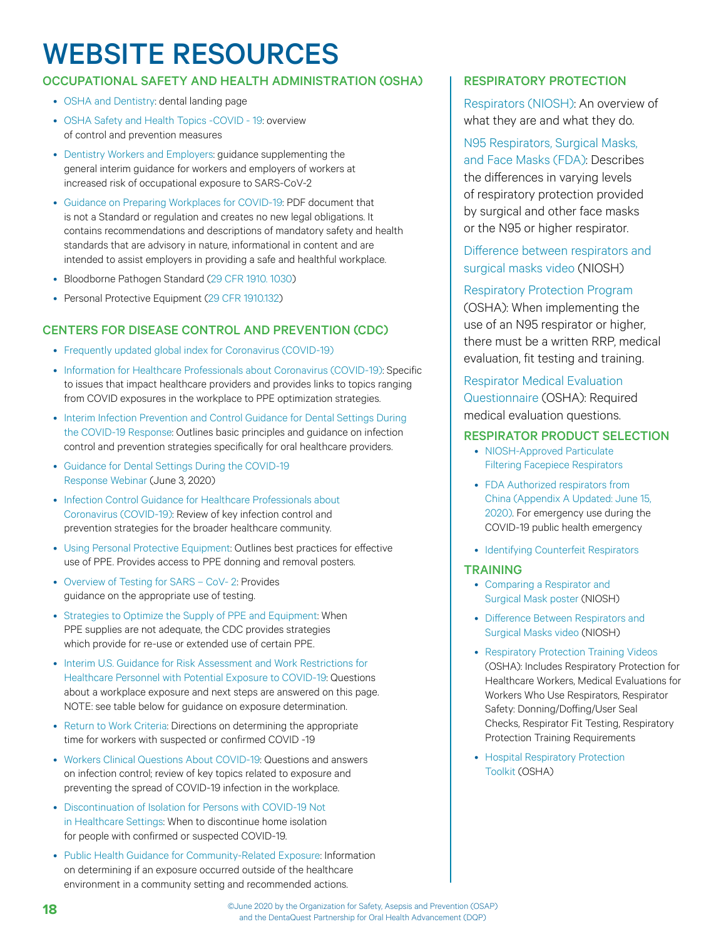## <span id="page-17-0"></span>WEBSITE RESOURCES

#### OCCUPATIONAL SAFETY AND HEALTH ADMINISTRATION (OSHA) | RESPIRATORY PROTECTION

- [OSHA and Dentistry:](https://www.osha.gov/SLTC/dentistry/) dental landing page
- [OSHA Safety and Health Topics -COVID 19](https://www.osha.gov/SLTC/covid-19/controlprevention.html): overview of control and prevention measures
- [Dentistry Workers and Employers:](https://www.osha.gov/SLTC/covid-19/dentistry.html) guidance supplementing the general interim guidance for workers and employers of workers at increased risk of occupational exposure to SARS-CoV-2
- [Guidance on Preparing Workplaces for COVID-19](https://www.osha.gov/Publications/OSHA3990.pdf): PDF document that is not a Standard or regulation and creates no new legal obligations. It contains recommendations and descriptions of mandatory safety and health standards that are advisory in nature, informational in content and are intended to assist employers in providing a safe and healthful workplace.
- Bloodborne Pathogen Standard ([29 CFR 1910. 1030\)](https://www.osha.gov/laws-regs/regulations/standardnumber/1910/1910.1030)
- Personal Protective Equipment ([29 CFR 1910.132](https://www.osha.gov/laws-regs/regulations/standardnumber/1910/1910.132))

#### CENTERS FOR DISEASE CONTROL AND PREVENTION (CDC)

- [Frequently updated global index for Coronavirus \(COVID-19\)](https://www.cdc.gov/coronavirus/2019-ncov/index.html)
- [Information for Healthcare Professionals about Coronavirus \(COVID-19\)](https://www.cdc.gov/coronavirus/2019-nCoV/hcp/index.html): Specific to issues that impact healthcare providers and provides links to topics ranging from COVID exposures in the workplace to PPE optimization strategies.
- [Interim Infection Prevention and Control Guidance for Dental Settings During](https://www.cdc.gov/coronavirus/2019-ncov/hcp/dental-settings.html)  [the COVID-19 Response](https://www.cdc.gov/coronavirus/2019-ncov/hcp/dental-settings.html): Outlines basic principles and guidance on infection control and prevention strategies specifically for oral healthcare providers.
- [Guidance for Dental Settings During the COVID-19](https://emergency.cdc.gov/coca/calls/2020/callinfo_060320.asp)  [Response Webinar](https://emergency.cdc.gov/coca/calls/2020/callinfo_060320.asp) (June 3, 2020)
- [Infection Control Guidance for Healthcare Professionals about](https://www.cdc.gov/coronavirus/2019-ncov/hcp/infection-control.html)  [Coronavirus \(COVID-19\)](https://www.cdc.gov/coronavirus/2019-ncov/hcp/infection-control.html): Review of key infection control and prevention strategies for the broader healthcare community.
- [Using Personal Protective Equipment](https://www.cdc.gov/coronavirus/2019-ncov/hcp/using-ppe.html): Outlines best practices for effective use of PPE. Provides access to PPE donning and removal posters.
- [Overview of Testing for SARS CoV- 2:](https://www.cdc.gov/coronavirus/2019-ncov/hcp/testing-overview.html) Provides guidance on the appropriate use of testing.
- [Strategies to Optimize the Supply of PPE and Equipment:](https://www.cdc.gov/coronavirus/2019-ncov/hcp/ppe-strategy/index.html) When PPE supplies are not adequate, the CDC provides strategies which provide for re-use or extended use of certain PPE.
- [Interim U.S. Guidance for Risk Assessment and Work Restrictions for](https://www.cdc.gov/coronavirus/2019-ncov/hcp/guidance-risk-assesment-hcp.html)  [Healthcare Personnel with Potential Exposure to COVID-19](https://www.cdc.gov/coronavirus/2019-ncov/hcp/guidance-risk-assesment-hcp.html): Questions about a workplace exposure and next steps are answered on this page. NOTE: see table below for guidance on exposure determination.
- [Return to Work Criteria:](https://www.cdc.gov/coronavirus/2019-ncov/hcp/return-to-work.html) Directions on determining the appropriate time for workers with suspected or confirmed COVID -19
- [Workers Clinical Questions About COVID-19](https://www.cdc.gov/coronavirus/2019-ncov/hcp/faq.html): Questions and answers on infection control; review of key topics related to exposure and preventing the spread of COVID-19 infection in the workplace.
- [Discontinuation of Isolation for Persons with COVID-19 Not](https://www.cdc.gov/coronavirus/2019-ncov/hcp/disposition-in-home-patients.html)  [in Healthcare Settings:](https://www.cdc.gov/coronavirus/2019-ncov/hcp/disposition-in-home-patients.html) When to discontinue home isolation for people with confirmed or suspected COVID-19.
- [Public Health Guidance for Community-Related Exposure](https://www.cdc.gov/coronavirus/2019-ncov/php/public-health-recommendations.html): Information on determining if an exposure occurred outside of the healthcare environment in a community setting and recommended actions.

[Respirators \(NIOSH\)](https://www.cdc.gov/niosh/topics/respirators/default.html): An overview of what they are and what they do.

[N95 Respirators, Surgical Masks,](https://www.fda.gov/medical-devices/personal-protective-equipment-infection-control/n95-respirators-surgical-masks-and-face-masks)  [and Face Masks \(FDA\)](https://www.fda.gov/medical-devices/personal-protective-equipment-infection-control/n95-respirators-surgical-masks-and-face-masks): Describes the differences in varying levels of respiratory protection provided by surgical and other face masks or the N95 or higher respirator.

[Difference between respirators and](https://www.cdc.gov/niosh/npptl/topics/respirators/disp_part/differencerespsurgical.html)  [surgical masks video](https://www.cdc.gov/niosh/npptl/topics/respirators/disp_part/differencerespsurgical.html) (NIOSH)

#### [Respiratory Protection Program](https://www.osha.gov/laws-regs/regulations/standardnumber/1910/1910.134)

(OSHA): When implementing the use of an N95 respirator or higher, there must be a written RRP, medical evaluation, fit testing and training.

[Respirator Medical Evaluation](https://www.osha.gov/Publications/OSHA3789info.pdf)  [Questionnaire](https://www.osha.gov/Publications/OSHA3789info.pdf) (OSHA): Required medical evaluation questions.

#### RESPIRATOR PRODUCT SELECTION

- [NIOSH-Approved Particulate](https://www.cdc.gov/niosh/npptl/topics/respirators/disp_part/default.html)  [Filtering Facepiece Respirators](https://www.cdc.gov/niosh/npptl/topics/respirators/disp_part/default.html)
- [FDA Authorized respirators from](https://www.fda.gov/medical-devices/coronavirus-disease-2019-covid-19-emergency-use-authorizations-medical-devices/personal-protective-equipment-euas#appendixa)  [China \(Appendix A Updated: June 15,](https://www.fda.gov/medical-devices/coronavirus-disease-2019-covid-19-emergency-use-authorizations-medical-devices/personal-protective-equipment-euas#appendixa)  [2020\)](https://www.fda.gov/medical-devices/coronavirus-disease-2019-covid-19-emergency-use-authorizations-medical-devices/personal-protective-equipment-euas#appendixa). For emergency use during the COVID-19 public health emergency
- [Identifying Counterfeit Respirators](https://www.cdc.gov/niosh/npptl/usernotices/counterfeitResp.html)

#### **TRAINING**

- [Comparing a Respirator and](https://www.cdc.gov/niosh/npptl/pdfs/UnderstandDifferenceInfographic-508.pdf)  [Surgical Mask poster](https://www.cdc.gov/niosh/npptl/pdfs/UnderstandDifferenceInfographic-508.pdf) (NIOSH)
- [Difference Between Respirators and](https://www.cdc.gov/niosh/npptl/topics/respirators/disp_part/differencerespsurgical.html)  [Surgical Masks video](https://www.cdc.gov/niosh/npptl/topics/respirators/disp_part/differencerespsurgical.html) (NIOSH)
- [Respiratory Protection Training Videos](https://www.osha.gov/SLTC/respiratoryprotection/training_videos.html) (OSHA): Includes Respiratory Protection for Healthcare Workers, Medical Evaluations for Workers Who Use Respirators, Respirator Safety: Donning/Doffing/User Seal Checks, Respirator Fit Testing, Respiratory Protection Training Requirements
- [Hospital Respiratory Protection](https://www.osha.gov/Publications/OSHA3767.pdf)  [Toolkit](https://www.osha.gov/Publications/OSHA3767.pdf) (OSHA)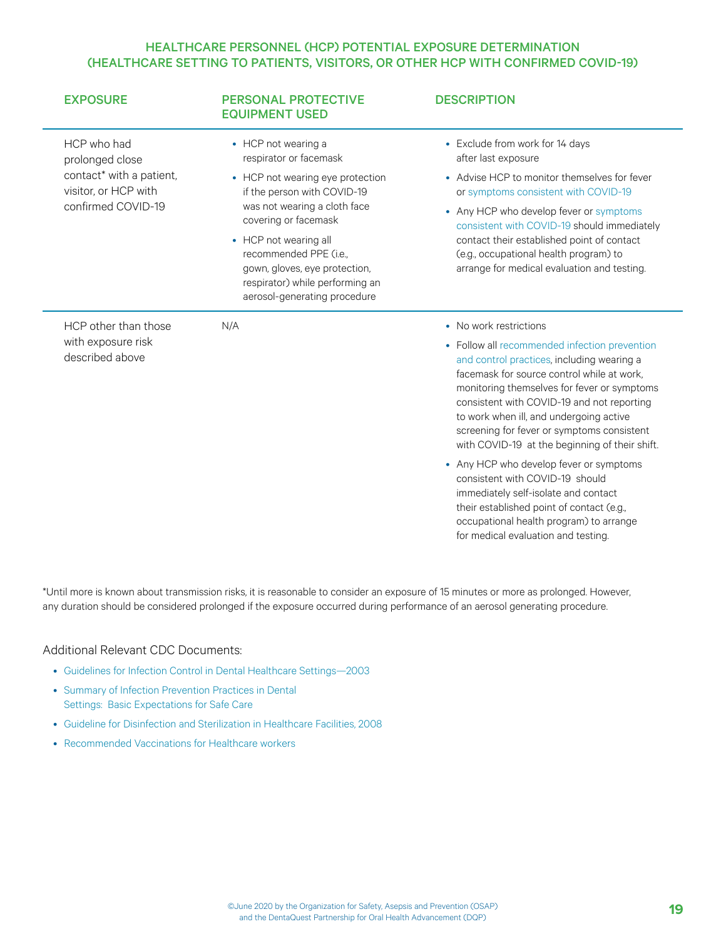#### HEALTHCARE PERSONNEL (HCP) POTENTIAL EXPOSURE DETERMINATION (HEALTHCARE SETTING TO PATIENTS, VISITORS, OR OTHER HCP WITH CONFIRMED COVID-19)

| <b>EXPOSURE</b>                                                                                          | <b>PERSONAL PROTECTIVE</b><br><b>EQUIPMENT USED</b>                                                                                                                                                                                                                                                                             | <b>DESCRIPTION</b>                                                                                                                                                                                                                                                                                                                                                                                                                                                                                                                                                                                                                                               |
|----------------------------------------------------------------------------------------------------------|---------------------------------------------------------------------------------------------------------------------------------------------------------------------------------------------------------------------------------------------------------------------------------------------------------------------------------|------------------------------------------------------------------------------------------------------------------------------------------------------------------------------------------------------------------------------------------------------------------------------------------------------------------------------------------------------------------------------------------------------------------------------------------------------------------------------------------------------------------------------------------------------------------------------------------------------------------------------------------------------------------|
| HCP who had<br>prolonged close<br>contact* with a patient,<br>visitor, or HCP with<br>confirmed COVID-19 | • HCP not wearing a<br>respirator or facemask<br>• HCP not wearing eye protection<br>if the person with COVID-19<br>was not wearing a cloth face<br>covering or facemask<br>• HCP not wearing all<br>recommended PPE (i.e.,<br>gown, gloves, eye protection,<br>respirator) while performing an<br>aerosol-generating procedure | • Exclude from work for 14 days<br>after last exposure<br>• Advise HCP to monitor themselves for fever<br>or symptoms consistent with COVID-19<br>• Any HCP who develop fever or symptoms<br>consistent with COVID-19 should immediately<br>contact their established point of contact<br>(e.g., occupational health program) to<br>arrange for medical evaluation and testing.                                                                                                                                                                                                                                                                                  |
| HCP other than those<br>with exposure risk<br>described above                                            | N/A                                                                                                                                                                                                                                                                                                                             | • No work restrictions<br>• Follow all recommended infection prevention<br>and control practices, including wearing a<br>facemask for source control while at work.<br>monitoring themselves for fever or symptoms<br>consistent with COVID-19 and not reporting<br>to work when ill, and undergoing active<br>screening for fever or symptoms consistent<br>with COVID-19 at the beginning of their shift.<br>• Any HCP who develop fever or symptoms<br>consistent with COVID-19 should<br>immediately self-isolate and contact<br>their established point of contact (e.g.,<br>occupational health program) to arrange<br>for medical evaluation and testing. |

\*Until more is known about transmission risks, it is reasonable to consider an exposure of 15 minutes or more as prolonged. However, any duration should be considered prolonged if the exposure occurred during performance of an aerosol generating procedure.

#### Additional Relevant CDC Documents:

- [Guidelines for Infection Control in Dental Healthcare Settings—2003](https://www.cdc.gov/mmwr/preview/mmwrhtml/rr5217a1.htm)
- [Summary of Infection Prevention Practices in Dental](https://www.cdc.gov/oralhealth/infectioncontrol/pdf/safe-care2.pdf)  [Settings: Basic Expectations for Safe Care](https://www.cdc.gov/oralhealth/infectioncontrol/pdf/safe-care2.pdf)
- [Guideline for Disinfection and Sterilization in Healthcare Facilities, 2008](https://www.cdc.gov/infectioncontrol/guidelines/disinfection/index.html)
- [Recommended Vaccinations for Healthcare workers](https://www.cdc.gov/vaccines/adults/rec-vac/hcw.html)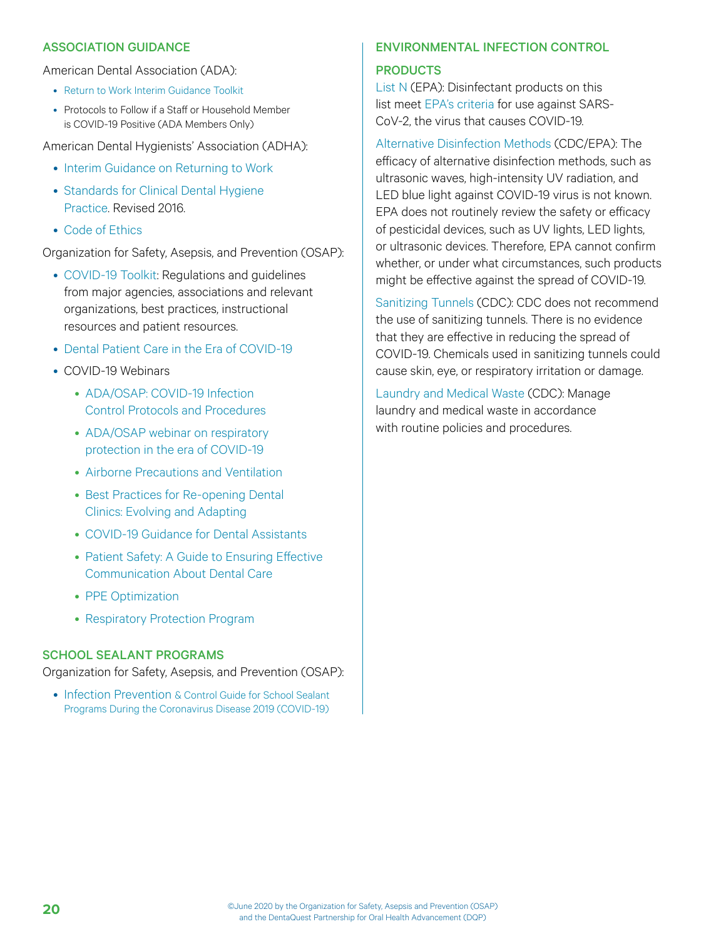#### ASSOCIATION GUIDANCE

#### American Dental Association (ADA):

- [Return to Work Interim Guidance Toolkit](https://success.ada.org/~/media/CPS/Files/Open%20Files/ADA_Return_to_Work_Toolkit.pdf)
- Protocols to Follow if a Staff or Household Member is COVID-19 Positive (ADA Members Only)

American Dental Hygienists' Association (ADHA):

- [Interim Guidance on Returning to Work](https://www.adha.org/resources-docs/ADHA_TaskForceReport.pdf)
- [Standards for Clinical Dental Hygiene](https://www.adha.org/resources-docs/2016-Revised-Standards-for-Clinical-Dental-Hygiene-Practice.pdf)  [Practice.](https://www.adha.org/resources-docs/2016-Revised-Standards-for-Clinical-Dental-Hygiene-Practice.pdf) Revised 2016.
- [Code of Ethics](https://www.adha.org/resources-docs/ADHA_Code_of_Ethics.pdf)

Organization for Safety, Asepsis, and Prevention (OSAP):

- [COVID-19 Toolkit](https://www.osap.org/page/COVID-19): Regulations and guidelines from major agencies, associations and relevant organizations, best practices, instructional resources and patient resources.
- [Dental Patient Care in the Era of COVID-19](https://cdn.ymaws.com/www.osap.org/resource/resmgr/dentaquest/OSAP-DQP_Patient_Guidance.pdf)
- COVID-19 Webinars
	- [ADA/OSAP: COVID-19 Infection](https://success.ada.org/en/practice-management/patients/digital-events/covid-19-infection-control-protocols-and-procedures-webinar)  [Control Protocols and Procedures](https://success.ada.org/en/practice-management/patients/digital-events/covid-19-infection-control-protocols-and-procedures-webinar)
	- ADA/OSAP webinar on respiratory [protection in the era of COVID-19](https://success.ada.org/en/practice-management/patients/digital-events/ada-and-osap-respiratory-protection-in-the-era-of-covid-19-webinar)
	- [Airborne Precautions and Ventilation](https://www.osap.org/page/webinar-airborne-precautions-ventilation)
	- [Best Practices for Re-opening Dental](https://www.dentaquestpartnership.org/learn/online-learning-center/instructional-webinars/best-practices-re-opening-dental-clinics-0)  [Clinics: Evolving and Adapting](https://www.dentaquestpartnership.org/learn/online-learning-center/instructional-webinars/best-practices-re-opening-dental-clinics-0)
	- [COVID-19 Guidance for Dental Assistants](https://www.osap.org/page/webinar-covid-19-dental-assistant)
	- [Patient Safety: A Guide to Ensuring Effective](https://www.dentaquestpartnership.org/learn/online-learning-center/instructional-webinars/patient-safety-guide-ensuring-effective)  [Communication About Dental Care](https://www.dentaquestpartnership.org/learn/online-learning-center/instructional-webinars/patient-safety-guide-ensuring-effective)
	- [PPE Optimization](https://www.osap.org/page/webinar-ppe-optimization)
	- [Respiratory Protection Program](https://www.osap.org/page/webinar-respiratory-protection-program)

#### SCHOOL SEALANT PROGRAMS

Organization for Safety, Asepsis, and Prevention (OSAP):

• [Infection Prevention & Control Guide for School Sealant](https://www.osap.org/page/ipc-guide-for-ssp-during-covid-19)  [Programs During the Coronavirus Disease 2019 \(COVID-19\)](https://www.osap.org/page/ipc-guide-for-ssp-during-covid-19)

#### ENVIRONMENTAL INFECTION CONTROL

#### PRODUCTS

[List N](https://www.epa.gov/pesticide-registration/list-n-disinfectants-use-against-sars-cov-2-covid-19) (EPA): Disinfectant products on this list meet [EPA's criteria](https://www.epa.gov/coronavirus/how-does-epa-know-products-list-n-work-sars-cov-2) for use against SARS-CoV-2, the virus that causes COVID-19.

[Alternative Disinfection Methods](https://www.cdc.gov/coronavirus/2019-ncov/hcp/dental-settings.html#EnvironmentalInfectionControl%20) (CDC/EPA): The efficacy of alternative disinfection methods, such as ultrasonic waves, high-intensity UV radiation, and LED blue light against COVID-19 virus is not known. EPA does not routinely review the safety or efficacy of pesticidal devices, such as UV lights, LED lights, or ultrasonic devices. Therefore, EPA cannot confirm whether, or under what circumstances, such products might be effective against the spread of COVID-19.

[Sanitizing Tunnels](https://www.cdc.gov/coronavirus/2019-ncov/hcp/dental-settings.html#EnvironmentalInfectionControl%20) (CDC): CDC does not recommend the use of sanitizing tunnels. There is no evidence that they are effective in reducing the spread of COVID-19. Chemicals used in sanitizing tunnels could cause skin, eye, or respiratory irritation or damage.

[Laundry and Medical Waste](https://www.cdc.gov/coronavirus/2019-ncov/hcp/dental-settings.html#EnvironmentalInfectionControl%20) (CDC): Manage laundry and medical waste in accordance with routine policies and procedures.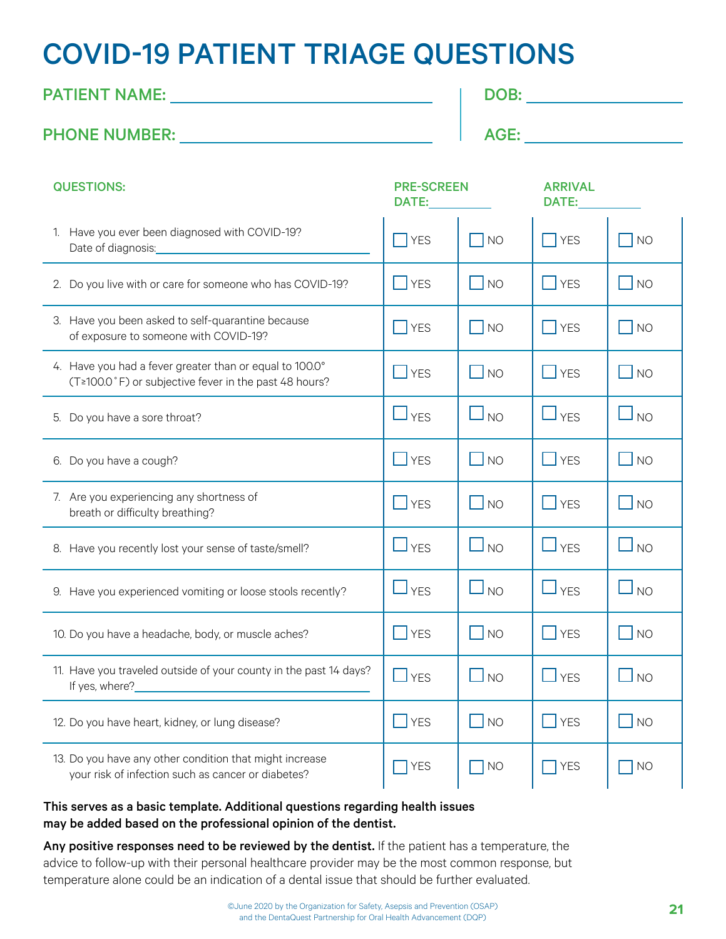## <span id="page-20-0"></span>COVID-19 PATIENT TRIAGE QUESTIONS

### PATIENT NAME: DOB:

### PHONE NUMBER: AGE:

| <b>QUESTIONS:</b>                                                                                                | <b>PRE-SCREEN</b><br>DATE:   |                             | <b>ARRIVAL</b><br>DATE:      |                              |
|------------------------------------------------------------------------------------------------------------------|------------------------------|-----------------------------|------------------------------|------------------------------|
| 1. Have you ever been diagnosed with COVID-19?<br>Date of diagnosis:__________                                   | $\overline{\phantom{a}}$ YES | $\overline{\bigcap}$ NO     | <b>YES</b>                   | <b>NO</b>                    |
| 2. Do you live with or care for someone who has COVID-19?                                                        | $\Box$ YES                   | $\overline{\phantom{a}}$ NO | $\overline{\phantom{a}}$ YES | <b>NO</b>                    |
| 3. Have you been asked to self-quarantine because<br>of exposure to someone with COVID-19?                       | <b>TYES</b>                  | $\overline{\bigwedge}$ NO   | $\overline{\phantom{a}}$ YES | <b>NO</b>                    |
| 4. Have you had a fever greater than or equal to 100.0°<br>(T≥100.0°F) or subjective fever in the past 48 hours? | $\Box$ YES                   | $\Box$ NO                   | $\Box$ YES                   | $\Box$ NO                    |
| 5. Do you have a sore throat?                                                                                    | $\Box$ $_{\text{YES}}$       | $\Box$ NO                   | $\Box$ YES                   | <b>NO</b>                    |
| 6. Do you have a cough?                                                                                          | $\Box$ YES                   | $\Box$ NO                   | $\Box$ YES                   | $\overline{\phantom{a}}$ NO  |
| 7. Are you experiencing any shortness of<br>breath or difficulty breathing?                                      | $\Box$ YES                   | $\Box$ NO                   | $\Box$ YES                   | $\Box$ NO                    |
| 8. Have you recently lost your sense of taste/smell?                                                             | $\Box$ YES                   | $\Box$ NO                   | $\Box$ YES                   | $\mathsf{l}_{\,\mathsf{NO}}$ |
| 9. Have you experienced vomiting or loose stools recently?                                                       | $\Box$ YES                   | $\Box$ NO                   | $\Box$ YES                   | <b>NO</b>                    |
| 10. Do you have a headache, body, or muscle aches?                                                               | $\blacksquare$ YES           | $\overline{\phantom{a}}$ NO | $\overline{\phantom{a}}$ YES | <b>NO</b>                    |
| 11. Have you traveled outside of your county in the past 14 days?<br>If yes, where?_                             | $\Box$ YES                   | $\Box$ NO                   | $\Box$ YES                   | $\Box$ NO                    |
| 12. Do you have heart, kidney, or lung disease?                                                                  | $\Box$ YES                   | $\Box$ NO                   | $\Box$ YES                   | $\n  NO\n$                   |
| 13. Do you have any other condition that might increase<br>your risk of infection such as cancer or diabetes?    | <b>YES</b>                   | <b>NO</b>                   | <b>YES</b>                   | <b>NO</b>                    |

#### This serves as a basic template. Additional questions regarding health issues may be added based on the professional opinion of the dentist.

Any positive responses need to be reviewed by the dentist. If the patient has a temperature, the advice to follow-up with their personal healthcare provider may be the most common response, but temperature alone could be an indication of a dental issue that should be further evaluated.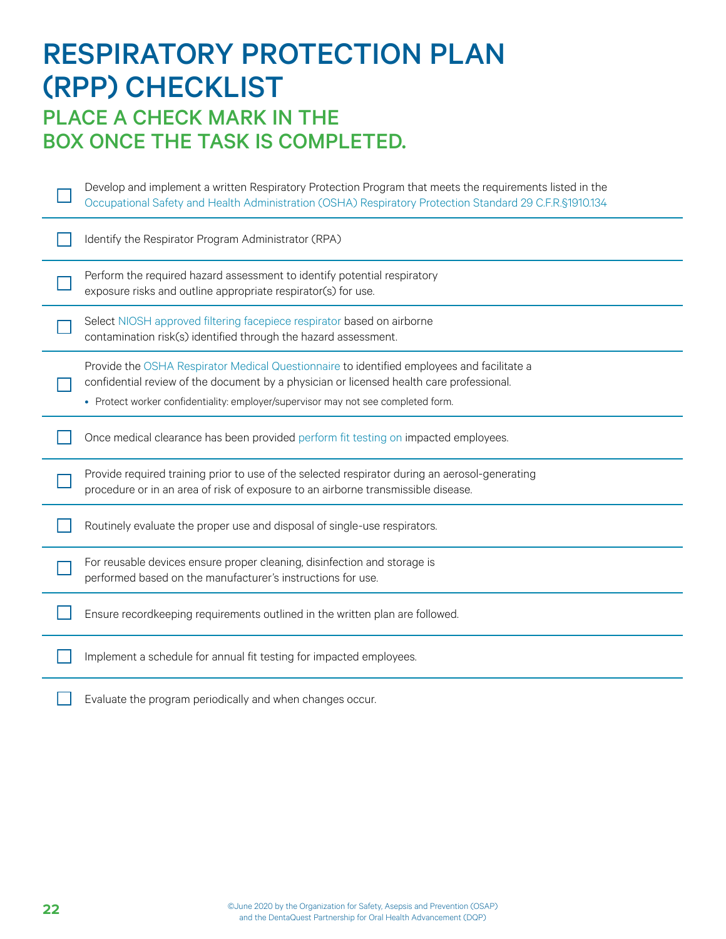<span id="page-21-0"></span>

| <b>RESPIRATORY PROTECTION PLAN</b><br><b>(RPP) CHECKLIST</b><br><b>PLACE A CHECK MARK IN THE</b><br><b>BOX ONCE THE TASK IS COMPLETED.</b> |                                                                                                                                                                                                                                                                             |  |  |  |
|--------------------------------------------------------------------------------------------------------------------------------------------|-----------------------------------------------------------------------------------------------------------------------------------------------------------------------------------------------------------------------------------------------------------------------------|--|--|--|
|                                                                                                                                            | Develop and implement a written Respiratory Protection Program that meets the requirements listed in the<br>Occupational Safety and Health Administration (OSHA) Respiratory Protection Standard 29 C.F.R.§1910.134                                                         |  |  |  |
|                                                                                                                                            | Identify the Respirator Program Administrator (RPA)                                                                                                                                                                                                                         |  |  |  |
|                                                                                                                                            | Perform the required hazard assessment to identify potential respiratory<br>exposure risks and outline appropriate respirator(s) for use.                                                                                                                                   |  |  |  |
|                                                                                                                                            | Select NIOSH approved filtering facepiece respirator based on airborne<br>contamination risk(s) identified through the hazard assessment.                                                                                                                                   |  |  |  |
|                                                                                                                                            | Provide the OSHA Respirator Medical Questionnaire to identified employees and facilitate a<br>confidential review of the document by a physician or licensed health care professional.<br>• Protect worker confidentiality: employer/supervisor may not see completed form. |  |  |  |
|                                                                                                                                            | Once medical clearance has been provided perform fit testing on impacted employees.                                                                                                                                                                                         |  |  |  |
|                                                                                                                                            | Provide required training prior to use of the selected respirator during an aerosol-generating<br>procedure or in an area of risk of exposure to an airborne transmissible disease.                                                                                         |  |  |  |
|                                                                                                                                            | Routinely evaluate the proper use and disposal of single-use respirators.                                                                                                                                                                                                   |  |  |  |
|                                                                                                                                            | For reusable devices ensure proper cleaning, disinfection and storage is<br>performed based on the manufacturer's instructions for use.                                                                                                                                     |  |  |  |
|                                                                                                                                            | Ensure recordkeeping requirements outlined in the written plan are followed.                                                                                                                                                                                                |  |  |  |
|                                                                                                                                            | Implement a schedule for annual fit testing for impacted employees.                                                                                                                                                                                                         |  |  |  |
|                                                                                                                                            | Evaluate the program periodically and when changes occur.                                                                                                                                                                                                                   |  |  |  |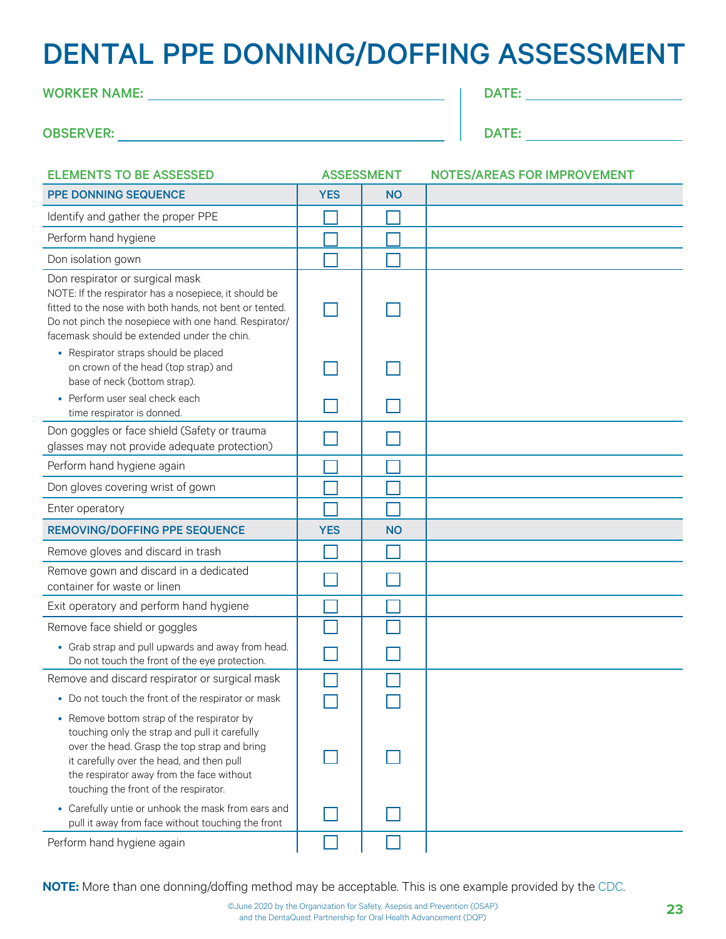## <span id="page-22-0"></span>DENTAL PPE DONNING/DOFFING ASSESSMENT

| <b>WORKER NAME:</b> |  |  |
|---------------------|--|--|
|                     |  |  |

| <b>OBSERVER:</b> |  |
|------------------|--|
|------------------|--|

| M<br>. . |  |  |  |
|----------|--|--|--|
|          |  |  |  |
|          |  |  |  |

| <b>ELEMENTS TO BE ASSESSED</b>                                                                                                                                                                                                                                                 | <b>ASSESSMENT</b> |           | <b>NOTES/AREAS FOR IMPROVEMENT</b> |
|--------------------------------------------------------------------------------------------------------------------------------------------------------------------------------------------------------------------------------------------------------------------------------|-------------------|-----------|------------------------------------|
| PPE DONNING SEQUENCE                                                                                                                                                                                                                                                           | <b>YES</b>        | <b>NO</b> |                                    |
| Identify and gather the proper PPE                                                                                                                                                                                                                                             |                   |           |                                    |
| Perform hand hygiene                                                                                                                                                                                                                                                           |                   |           |                                    |
| Don isolation gown                                                                                                                                                                                                                                                             |                   |           |                                    |
| Don respirator or surgical mask<br>NOTE: If the respirator has a nosepiece, it should be<br>fitted to the nose with both hands, not bent or tented.<br>Do not pinch the nosepiece with one hand. Respirator/<br>facemask should be extended under the chin.                    |                   |           |                                    |
| • Respirator straps should be placed<br>on crown of the head (top strap) and<br>base of neck (bottom strap).                                                                                                                                                                   |                   |           |                                    |
| • Perform user seal check each<br>time respirator is donned.                                                                                                                                                                                                                   |                   |           |                                    |
| Don goggles or face shield (Safety or trauma<br>glasses may not provide adequate protection)                                                                                                                                                                                   |                   |           |                                    |
| Perform hand hygiene again                                                                                                                                                                                                                                                     |                   |           |                                    |
| Don gloves covering wrist of gown                                                                                                                                                                                                                                              |                   |           |                                    |
| Enter operatory                                                                                                                                                                                                                                                                |                   |           |                                    |
| <b>REMOVING/DOFFING PPE SEQUENCE</b>                                                                                                                                                                                                                                           | <b>YES</b>        | <b>NO</b> |                                    |
| Remove gloves and discard in trash                                                                                                                                                                                                                                             |                   |           |                                    |
| Remove gown and discard in a dedicated<br>container for waste or linen                                                                                                                                                                                                         |                   |           |                                    |
| Exit operatory and perform hand hygiene                                                                                                                                                                                                                                        |                   |           |                                    |
| Remove face shield or goggles                                                                                                                                                                                                                                                  |                   |           |                                    |
| • Grab strap and pull upwards and away from head.<br>Do not touch the front of the eye protection.                                                                                                                                                                             |                   |           |                                    |
| Remove and discard respirator or surgical mask                                                                                                                                                                                                                                 |                   |           |                                    |
| • Do not touch the front of the respirator or mask                                                                                                                                                                                                                             |                   |           |                                    |
| • Remove bottom strap of the respirator by<br>touching only the strap and pull it carefully<br>over the head. Grasp the top strap and bring<br>it carefully over the head, and then pull<br>the respirator away from the face without<br>touching the front of the respirator. |                   |           |                                    |
| • Carefully untie or unhook the mask from ears and<br>pull it away from face without touching the front                                                                                                                                                                        |                   |           |                                    |
| Perform hand hygiene again                                                                                                                                                                                                                                                     |                   |           |                                    |

**NOTE:** More than one donning/doffing method may be acceptable. This is one example provided by the [CDC.](https://www.cdc.gov/coronavirus/2019-ncov/hcp/using-ppe.html)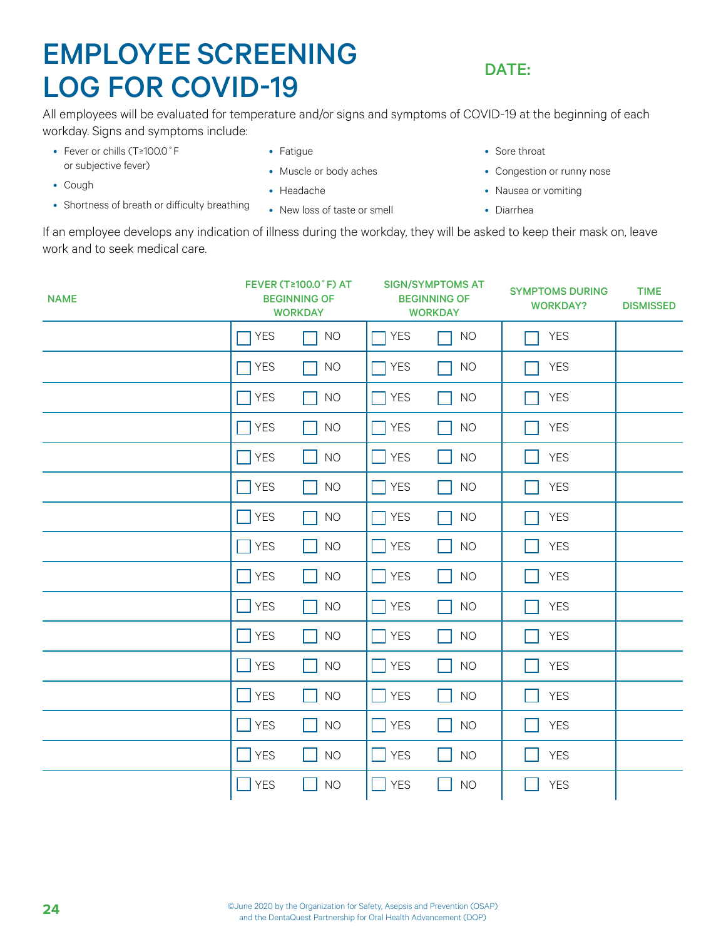## <span id="page-23-0"></span>EMPLOYEE SCREENING LOG FOR COVID-19

### DATE:

All employees will be evaluated for temperature and/or signs and symptoms of COVID-19 at the beginning of each workday. Signs and symptoms include:

- Fever or chills (T≥100.0˚F or subjective fever)
- Cough
- Shortness of breath or difficulty breathing
- Fatigue
- Muscle or body aches
- Headache
- New loss of taste or smell
- Sore throat
- Congestion or runny nose
- Nausea or vomiting
- Diarrhea

If an employee develops any indication of illness during the workday, they will be asked to keep their mask on, leave work and to seek medical care.

| <b>NAME</b> |                              | <b>FEVER (T≥100.0 °F) AT</b><br><b>BEGINNING OF</b><br><b>WORKDAY</b> |                            | <b>SIGN/SYMPTOMS AT</b><br><b>BEGINNING OF</b><br><b>WORKDAY</b> | <b>SYMPTOMS DURING</b><br><b>WORKDAY?</b> | <b>TIME</b><br><b>DISMISSED</b> |
|-------------|------------------------------|-----------------------------------------------------------------------|----------------------------|------------------------------------------------------------------|-------------------------------------------|---------------------------------|
|             | <b>YES</b>                   | <b>NO</b>                                                             | <b>YES</b><br>$\mathbf{1}$ | <b>NO</b>                                                        | <b>YES</b>                                |                                 |
|             | <b>YES</b><br>$\mathbb{R}^2$ | <b>NO</b><br>$\mathbf{I}$                                             | $\prod$ YES                | <b>NO</b>                                                        | <b>YES</b>                                |                                 |
|             | <b>YES</b>                   | <b>NO</b>                                                             | <b>YES</b><br>l I          | <b>NO</b>                                                        | <b>YES</b>                                |                                 |
|             | <b>YES</b>                   | <b>NO</b>                                                             | <b>YES</b><br>I.           | <b>NO</b>                                                        | <b>YES</b>                                |                                 |
|             | <b>YES</b>                   | <b>NO</b>                                                             | $\Box$ YES                 | <b>NO</b>                                                        | <b>YES</b>                                |                                 |
|             | <b>YES</b>                   | <b>NO</b><br>. .                                                      | <b>YES</b><br>I I          | <b>NO</b>                                                        | <b>YES</b>                                |                                 |
|             | <b>YES</b>                   | <b>NO</b>                                                             | $\Box$ YES                 | <b>NO</b>                                                        | <b>YES</b>                                |                                 |
|             | <b>YES</b><br>- 1            | <b>NO</b><br>. .                                                      | $\Box$ YES                 | <b>NO</b>                                                        | <b>YES</b>                                |                                 |
|             | <b>YES</b>                   | <b>NO</b>                                                             | $\Box$ YES                 | <b>NO</b>                                                        | <b>YES</b>                                |                                 |
|             | <b>YES</b>                   | <b>NO</b>                                                             | <b>YES</b>                 | <b>NO</b>                                                        | <b>YES</b>                                |                                 |
|             | <b>YES</b>                   | <b>NO</b>                                                             | <b>YES</b>                 | $NO$                                                             | <b>YES</b>                                |                                 |
|             | <b>YES</b>                   | <b>NO</b>                                                             | <b>YES</b>                 | <b>NO</b>                                                        | <b>YES</b>                                |                                 |
|             | <b>YES</b>                   | <b>NO</b>                                                             | <b>YES</b><br>l II         | <b>NO</b>                                                        | <b>YES</b>                                |                                 |
|             | <b>YES</b>                   | <b>NO</b>                                                             | <b>YES</b><br>I I          | <b>NO</b>                                                        | <b>YES</b>                                |                                 |
|             | <b>YES</b>                   | <b>NO</b>                                                             | <b>YES</b><br>$\mathbf{1}$ | <b>NO</b>                                                        | <b>YES</b>                                |                                 |
|             | <b>YES</b><br>$\sim$         | <b>NO</b>                                                             | $\Box$ YES                 | <b>NO</b>                                                        | <b>YES</b>                                |                                 |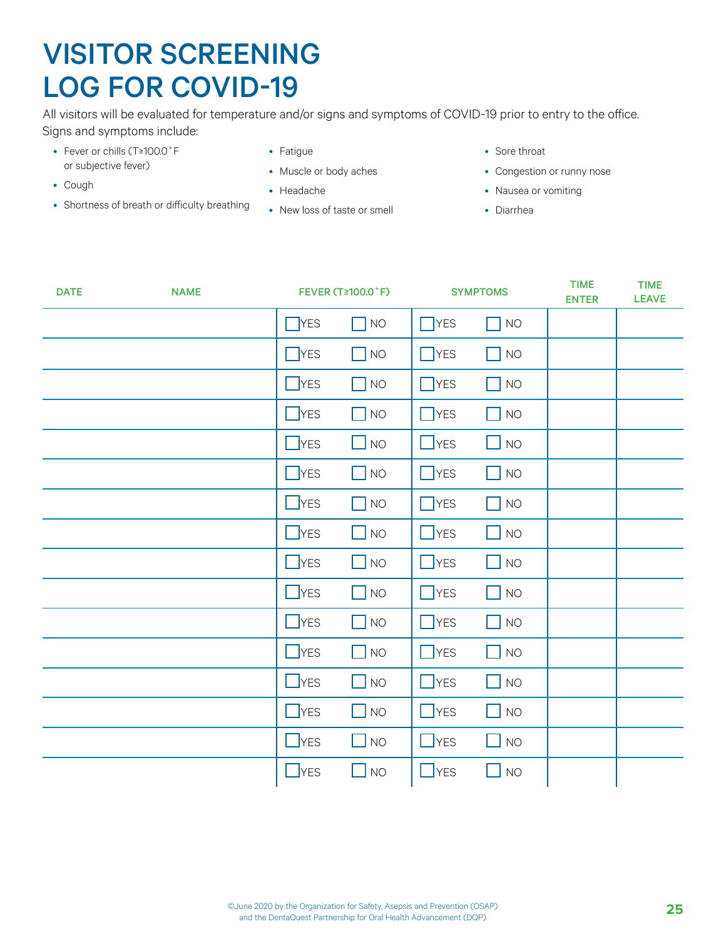## <span id="page-24-0"></span>VISITOR SCREENING LOG FOR COVID-19

All visitors will be evaluated for temperature and/or signs and symptoms of COVID-19 prior to entry to the office. Signs and symptoms include:

- Fever or chills (T≥100.0˚F or subjective fever)
- Cough
- Shortness of breath or difficulty breathing
- Fatigue
- Muscle or body aches
- Headache
- New loss of taste or smell
- Sore throat
- Congestion or runny nose
- Nausea or vomiting
- Diarrhea

| <b>DATE</b> | <b>NAME</b> |            | <b>FEVER (T≥100.0 °F)</b> |               | <b>SYMPTOMS</b> |  | <b>TIME</b><br><b>LEAVE</b> |
|-------------|-------------|------------|---------------------------|---------------|-----------------|--|-----------------------------|
|             |             | $\Box$ YES | NO                        | $\Box$ YES    | $\Box$ NO       |  |                             |
|             |             | $\Box$ YES | $\Box$ NO                 | $\bigcap$ YES | $\Box$ NO       |  |                             |
|             |             | $\Box$ YES | $\Box$ NO                 | $\Box$ YES    | $\Box$ NO       |  |                             |
|             |             | $\Box$ YES | $\Box$ NO                 | $\bigcap$ YES | $\Box$ NO       |  |                             |
|             |             | $\Box$ YES | $\Box$ NO                 | $\Box$ YES    | $\Box$ NO       |  |                             |
|             |             | $\Box$ YES | $\Box$ NO                 | $\Box$ YES    | $\Box$ NO       |  |                             |
|             |             | $\Box$ YES | $\overline{\big }$ NO     | $\bigcap$ YES | $\Box$ NO       |  |                             |
|             |             | $\Box$ YES | $\Box$ NO                 | $\Box$ YES    | $\Box$ NO       |  |                             |
|             |             | $\Box$ YES | $\Box$ NO                 | $\Box$ YES    | $\Box$ NO       |  |                             |
|             |             | $\Box$ YES | $\Box$ NO                 | $\Box$ YES    | $\Box$ NO       |  |                             |
|             |             | $\Box$ YES | $\blacksquare$ NO         | $\Box$ YES    | $\Box$ NO       |  |                             |
|             |             | $\Box$ YES | $\Box$ NO                 | $\Box$ YES    | $\Box$ NO       |  |                             |
|             |             | $\Box$ YES | $\Box$ NO                 | $\Box$ YES    | $\Box$ NO       |  |                             |
|             |             | $\Box$ YES | $\Box$ NO                 | $\Box$ YES    | $\Box$ NO       |  |                             |
|             |             | $\Box$ YES | $\Box$ NO                 | $\Box$ YES    | $\Box$ NO       |  |                             |
|             |             | $\Box$ YES | $\Box$ NO                 | $\Box$ YES    | $\Box$ NO       |  |                             |